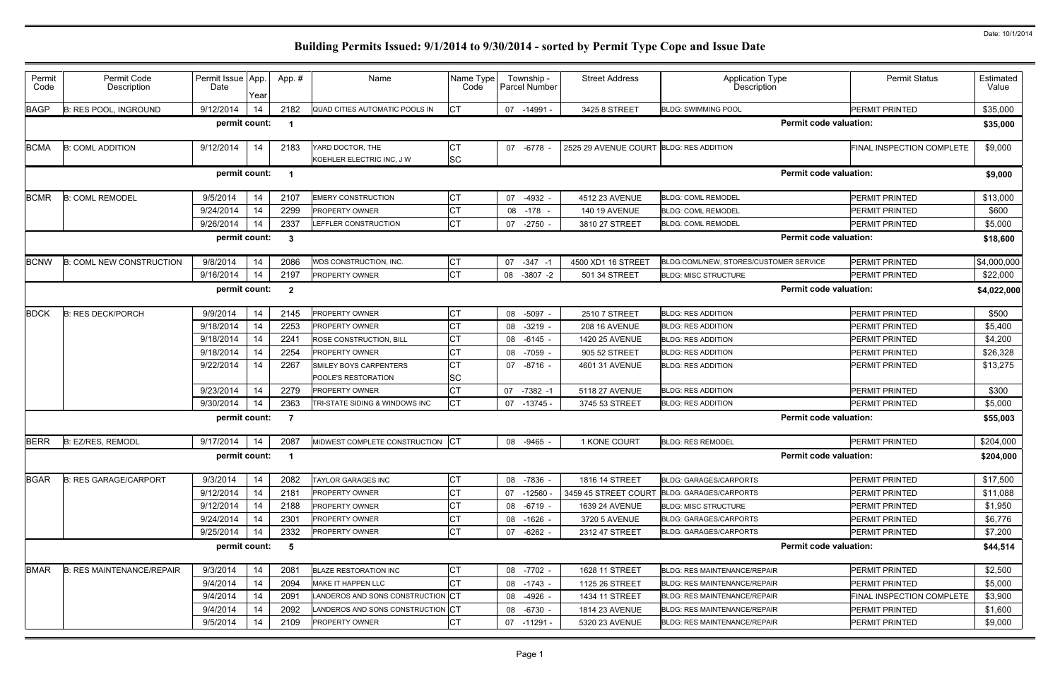| Permit<br>Permit Code<br>Permit Issue App.<br>Township -<br><b>Permit Status</b><br>Estimated<br>App. #<br>Name<br>Name Type<br><b>Street Address</b><br><b>Application Type</b><br>Description<br>Code<br>Description<br>Date<br>Parcel Number<br>Code<br>Value<br>Year<br><b>CT</b><br>9/12/2014<br>2182<br>14<br><b>PERMIT PRINTED</b><br>\$35,000<br><b>B: RES POOL, INGROUND</b><br>QUAD CITIES AUTOMATIC POOLS IN<br>07 -14991 -<br>3425 8 STREET<br><b>BLDG: SWIMMING POOL</b><br><b>Permit code valuation:</b><br>permit count:<br>\$35,000<br>\$9,000<br><b>B: COML ADDITION</b><br>9/12/2014<br>14<br>2183<br>СT<br>FINAL INSPECTION COMPLETE<br>YARD DOCTOR, THE<br>07 -6778<br>2525 29 AVENUE COURT BLDG: RES ADDITION<br><b>SC</b><br>KOEHLER ELECTRIC INC, J W<br>permit count:<br><b>Permit code valuation:</b><br>\$9,000<br>СT<br><b>B: COML REMODEL</b><br>9/5/2014<br>2107<br><b>EMERY CONSTRUCTION</b><br>$-4932$ -<br><b>PERMIT PRINTED</b><br>\$13,000<br>14<br>07<br>4512 23 AVENUE<br><b>BLDG: COML REMODEL</b><br>9/24/2014<br>2299<br>СT<br>\$600<br>14<br><b>PERMIT PRINTED</b><br>PROPERTY OWNER<br>08<br>-178<br><b>140 19 AVENUE</b><br><b>BLDG: COML REMODEL</b><br>СT<br>9/26/2014<br>2337<br>\$5,000<br>14<br>LEFFLER CONSTRUCTION<br>07 -2750 -<br>3810 27 STREET<br><b>PERMIT PRINTED</b><br><b>BLDG: COML REMODEL</b><br><b>Permit code valuation:</b><br>permit count:<br>$\mathbf{3}$<br>\$18,600<br>СT<br><b>B: COML NEW CONSTRUCTION</b><br>9/8/2014<br>2086<br>07<br>4500 XD1 16 STREET<br><b>PERMIT PRINTED</b><br>14<br>WDS CONSTRUCTION, INC.<br>$-347 - 1$<br>BLDG:COML/NEW, STORES/CUSTOMER SERVICE<br><b>CT</b><br>9/16/2014<br>14<br>2197<br>\$22,000<br>PROPERTY OWNER<br>$-3807 -2$<br><b>PERMIT PRINTED</b><br>08<br>501 34 STREET<br><b>BLDG: MISC STRUCTURE</b><br>permit count:<br><b>Permit code valuation:</b><br>$\boldsymbol{2}$<br>9/9/2014<br>СT<br><b>PERMIT PRINTED</b><br>\$500<br><b>B: RES DECK/PORCH</b><br>14<br>2145<br>PROPERTY OWNER<br>08 -5097 -<br>2510 7 STREET<br><b>BLDG: RES ADDITION</b><br>СT<br>9/18/2014<br>14<br>2253<br>PROPERTY OWNER<br>$-3219 -$<br><b>PERMIT PRINTED</b><br>\$5,400<br>08<br><b>208 16 AVENUE</b><br><b>BLDG: RES ADDITION</b><br><b>CT</b><br>9/18/2014<br>14<br>\$4,200<br>2241<br>ROSE CONSTRUCTION, BILL<br>08 -6145 -<br>1420 25 AVENUE<br><b>PERMIT PRINTED</b><br><b>BLDG: RES ADDITION</b><br>9/18/2014<br>СT<br>\$26,328<br>14<br>2254<br>PROPERTY OWNER<br>-7059 -<br>905 52 STREET<br><b>PERMIT PRINTED</b><br>08<br><b>BLDG: RES ADDITION</b><br><b>CT</b><br>9/22/2014<br>14<br>2267<br>\$13,275<br>SMILEY BOYS CARPENTERS<br>07 -8716 -<br><b>PERMIT PRINTED</b><br>4601 31 AVENUE<br><b>BLDG: RES ADDITION</b><br>SC<br>POOLE'S RESTORATION<br><b>CT</b><br>9/23/2014<br>2279<br>\$300<br>14<br><b>PERMIT PRINTED</b><br>PROPERTY OWNER<br>07<br>$-7382 - 1$<br>5118 27 AVENUE<br><b>BLDG: RES ADDITION</b><br><b>CT</b><br>9/30/2014<br>2363<br>TRI-STATE SIDING & WINDOWS INC<br>\$5,000<br>14<br><b>BLDG: RES ADDITION</b><br><b>PERMIT PRINTED</b><br>07 -13745 -<br>3745 53 STREET<br>permit count:<br><b>Permit code valuation:</b><br>\$55,003<br>B: EZ/RES, REMODL<br>9/17/2014<br>2087<br>MIDWEST COMPLETE CONSTRUCTION CT<br>\$204,000<br>14<br>08 -9465 -<br>1 KONE COURT<br><b>BLDG: RES REMODEL</b><br><b>PERMIT PRINTED</b><br><b>Permit code valuation:</b><br>permit count: 1<br>СT<br>9/3/2014<br>14<br>2082<br><b>PERMIT PRINTED</b><br>\$17,500<br><b>B: RES GARAGE/CARPORT</b><br><b>TAYLOR GARAGES INC</b><br>08 -7836 -<br>1816 14 STREET<br><b>BLDG: GARAGES/CARPORTS</b><br><b>CT</b><br>9/12/2014<br>14<br>2181<br>PROPERTY OWNER<br>07 -12560<br><b>PERMIT PRINTED</b><br>\$11,088<br>3459 45 STREET COURT<br><b>BLDG: GARAGES/CARPORTS</b><br><b>CT</b><br>9/12/2014<br>14<br>2188<br>PROPERTY OWNER<br>\$1,950<br><b>BLDG: MISC STRUCTURE</b><br><b>PERMIT PRINTED</b><br>08 -6719 -<br>1639 24 AVENUE<br>СT<br>9/24/2014<br>14<br>2301<br>\$6,776<br>PROPERTY OWNER<br><b>BLDG: GARAGES/CARPORTS</b><br>PERMIT PRINTED<br>08<br>$-1626$ -<br>3720 5 AVENUE<br><b>CT</b><br>9/25/2014<br>14<br>2332<br>PROPERTY OWNER<br>\$7,200<br>07<br>$-6262 -$<br>2312 47 STREET<br><b>BLDG: GARAGES/CARPORTS</b><br><b>PERMIT PRINTED</b><br><b>Permit code valuation:</b><br>permit count:<br>- 5<br>\$44,514<br><b>CT</b><br>9/3/2014<br>14<br>\$2,500<br><b>B: RES MAINTENANCE/REPAIR</b><br>2081<br><b>BLAZE RESTORATION INC</b><br>08 -7702 -<br>1628 11 STREET<br><b>BLDG: RES MAINTENANCE/REPAIR</b><br><b>PERMIT PRINTED</b><br><b>CT</b><br>14<br>MAKE IT HAPPEN LLC<br>9/4/2014<br>2094<br><b>BLDG: RES MAINTENANCE/REPAIR</b><br><b>PERMIT PRINTED</b><br>\$5,000<br>08 -1743 -<br>1125 26 STREET<br>14<br>LANDEROS AND SONS CONSTRUCTION CT<br>\$3,900<br>9/4/2014<br>2091<br><b>BLDG: RES MAINTENANCE/REPAIR</b><br>FINAL INSPECTION COMPLETE<br>08 -4926 -<br>1434 11 STREET<br>LANDEROS AND SONS CONSTRUCTION CT<br>\$1,600<br>9/4/2014<br>14<br>2092<br>BLDG: RES MAINTENANCE/REPAIR<br><b>PERMIT PRINTED</b><br>08 -6730 -<br>1814 23 AVENUE<br>СT<br>9/5/2014<br>14<br>2109<br>PROPERTY OWNER<br>\$9,000<br>07 -11291 -<br>5320 23 AVENUE<br><b>BLDG: RES MAINTENANCE/REPAIR</b><br>PERMIT PRINTED |             |  |  |  |  |  |           |
|--------------------------------------------------------------------------------------------------------------------------------------------------------------------------------------------------------------------------------------------------------------------------------------------------------------------------------------------------------------------------------------------------------------------------------------------------------------------------------------------------------------------------------------------------------------------------------------------------------------------------------------------------------------------------------------------------------------------------------------------------------------------------------------------------------------------------------------------------------------------------------------------------------------------------------------------------------------------------------------------------------------------------------------------------------------------------------------------------------------------------------------------------------------------------------------------------------------------------------------------------------------------------------------------------------------------------------------------------------------------------------------------------------------------------------------------------------------------------------------------------------------------------------------------------------------------------------------------------------------------------------------------------------------------------------------------------------------------------------------------------------------------------------------------------------------------------------------------------------------------------------------------------------------------------------------------------------------------------------------------------------------------------------------------------------------------------------------------------------------------------------------------------------------------------------------------------------------------------------------------------------------------------------------------------------------------------------------------------------------------------------------------------------------------------------------------------------------------------------------------------------------------------------------------------------------------------------------------------------------------------------------------------------------------------------------------------------------------------------------------------------------------------------------------------------------------------------------------------------------------------------------------------------------------------------------------------------------------------------------------------------------------------------------------------------------------------------------------------------------------------------------------------------------------------------------------------------------------------------------------------------------------------------------------------------------------------------------------------------------------------------------------------------------------------------------------------------------------------------------------------------------------------------------------------------------------------------------------------------------------------------------------------------------------------------------------------------------------------------------------------------------------------------------------------------------------------------------------------------------------------------------------------------------------------------------------------------------------------------------------------------------------------------------------------------------------------------------------------------------------------------------------------------------------------------------------------------------------------------------------------------------------------------------------------------------------------------------------------------------------------------------------------------------------------------------------------------------------------------------------------------------------------------------------------------------------------------------------------------------------------------------------------------------------------------------------------------------------------------------------------------------------------------------------------------------------------------------------------------------------------------------------------------------------------------------------------------------------------------------------------------------------------------------------------------------------------------------------------------------------------------------------------------------------------------------------------------------------------------------------------------------|-------------|--|--|--|--|--|-----------|
| \$4,000,000<br>\$4,022,000                                                                                                                                                                                                                                                                                                                                                                                                                                                                                                                                                                                                                                                                                                                                                                                                                                                                                                                                                                                                                                                                                                                                                                                                                                                                                                                                                                                                                                                                                                                                                                                                                                                                                                                                                                                                                                                                                                                                                                                                                                                                                                                                                                                                                                                                                                                                                                                                                                                                                                                                                                                                                                                                                                                                                                                                                                                                                                                                                                                                                                                                                                                                                                                                                                                                                                                                                                                                                                                                                                                                                                                                                                                                                                                                                                                                                                                                                                                                                                                                                                                                                                                                                                                                                                                                                                                                                                                                                                                                                                                                                                                                                                                                                                                                                                                                                                                                                                                                                                                                                                                                                                                                                                                                                                   |             |  |  |  |  |  |           |
|                                                                                                                                                                                                                                                                                                                                                                                                                                                                                                                                                                                                                                                                                                                                                                                                                                                                                                                                                                                                                                                                                                                                                                                                                                                                                                                                                                                                                                                                                                                                                                                                                                                                                                                                                                                                                                                                                                                                                                                                                                                                                                                                                                                                                                                                                                                                                                                                                                                                                                                                                                                                                                                                                                                                                                                                                                                                                                                                                                                                                                                                                                                                                                                                                                                                                                                                                                                                                                                                                                                                                                                                                                                                                                                                                                                                                                                                                                                                                                                                                                                                                                                                                                                                                                                                                                                                                                                                                                                                                                                                                                                                                                                                                                                                                                                                                                                                                                                                                                                                                                                                                                                                                                                                                                                              |             |  |  |  |  |  |           |
|                                                                                                                                                                                                                                                                                                                                                                                                                                                                                                                                                                                                                                                                                                                                                                                                                                                                                                                                                                                                                                                                                                                                                                                                                                                                                                                                                                                                                                                                                                                                                                                                                                                                                                                                                                                                                                                                                                                                                                                                                                                                                                                                                                                                                                                                                                                                                                                                                                                                                                                                                                                                                                                                                                                                                                                                                                                                                                                                                                                                                                                                                                                                                                                                                                                                                                                                                                                                                                                                                                                                                                                                                                                                                                                                                                                                                                                                                                                                                                                                                                                                                                                                                                                                                                                                                                                                                                                                                                                                                                                                                                                                                                                                                                                                                                                                                                                                                                                                                                                                                                                                                                                                                                                                                                                              | <b>BAGP</b> |  |  |  |  |  |           |
|                                                                                                                                                                                                                                                                                                                                                                                                                                                                                                                                                                                                                                                                                                                                                                                                                                                                                                                                                                                                                                                                                                                                                                                                                                                                                                                                                                                                                                                                                                                                                                                                                                                                                                                                                                                                                                                                                                                                                                                                                                                                                                                                                                                                                                                                                                                                                                                                                                                                                                                                                                                                                                                                                                                                                                                                                                                                                                                                                                                                                                                                                                                                                                                                                                                                                                                                                                                                                                                                                                                                                                                                                                                                                                                                                                                                                                                                                                                                                                                                                                                                                                                                                                                                                                                                                                                                                                                                                                                                                                                                                                                                                                                                                                                                                                                                                                                                                                                                                                                                                                                                                                                                                                                                                                                              |             |  |  |  |  |  |           |
|                                                                                                                                                                                                                                                                                                                                                                                                                                                                                                                                                                                                                                                                                                                                                                                                                                                                                                                                                                                                                                                                                                                                                                                                                                                                                                                                                                                                                                                                                                                                                                                                                                                                                                                                                                                                                                                                                                                                                                                                                                                                                                                                                                                                                                                                                                                                                                                                                                                                                                                                                                                                                                                                                                                                                                                                                                                                                                                                                                                                                                                                                                                                                                                                                                                                                                                                                                                                                                                                                                                                                                                                                                                                                                                                                                                                                                                                                                                                                                                                                                                                                                                                                                                                                                                                                                                                                                                                                                                                                                                                                                                                                                                                                                                                                                                                                                                                                                                                                                                                                                                                                                                                                                                                                                                              |             |  |  |  |  |  |           |
|                                                                                                                                                                                                                                                                                                                                                                                                                                                                                                                                                                                                                                                                                                                                                                                                                                                                                                                                                                                                                                                                                                                                                                                                                                                                                                                                                                                                                                                                                                                                                                                                                                                                                                                                                                                                                                                                                                                                                                                                                                                                                                                                                                                                                                                                                                                                                                                                                                                                                                                                                                                                                                                                                                                                                                                                                                                                                                                                                                                                                                                                                                                                                                                                                                                                                                                                                                                                                                                                                                                                                                                                                                                                                                                                                                                                                                                                                                                                                                                                                                                                                                                                                                                                                                                                                                                                                                                                                                                                                                                                                                                                                                                                                                                                                                                                                                                                                                                                                                                                                                                                                                                                                                                                                                                              | <b>BCMA</b> |  |  |  |  |  |           |
|                                                                                                                                                                                                                                                                                                                                                                                                                                                                                                                                                                                                                                                                                                                                                                                                                                                                                                                                                                                                                                                                                                                                                                                                                                                                                                                                                                                                                                                                                                                                                                                                                                                                                                                                                                                                                                                                                                                                                                                                                                                                                                                                                                                                                                                                                                                                                                                                                                                                                                                                                                                                                                                                                                                                                                                                                                                                                                                                                                                                                                                                                                                                                                                                                                                                                                                                                                                                                                                                                                                                                                                                                                                                                                                                                                                                                                                                                                                                                                                                                                                                                                                                                                                                                                                                                                                                                                                                                                                                                                                                                                                                                                                                                                                                                                                                                                                                                                                                                                                                                                                                                                                                                                                                                                                              |             |  |  |  |  |  |           |
|                                                                                                                                                                                                                                                                                                                                                                                                                                                                                                                                                                                                                                                                                                                                                                                                                                                                                                                                                                                                                                                                                                                                                                                                                                                                                                                                                                                                                                                                                                                                                                                                                                                                                                                                                                                                                                                                                                                                                                                                                                                                                                                                                                                                                                                                                                                                                                                                                                                                                                                                                                                                                                                                                                                                                                                                                                                                                                                                                                                                                                                                                                                                                                                                                                                                                                                                                                                                                                                                                                                                                                                                                                                                                                                                                                                                                                                                                                                                                                                                                                                                                                                                                                                                                                                                                                                                                                                                                                                                                                                                                                                                                                                                                                                                                                                                                                                                                                                                                                                                                                                                                                                                                                                                                                                              |             |  |  |  |  |  |           |
|                                                                                                                                                                                                                                                                                                                                                                                                                                                                                                                                                                                                                                                                                                                                                                                                                                                                                                                                                                                                                                                                                                                                                                                                                                                                                                                                                                                                                                                                                                                                                                                                                                                                                                                                                                                                                                                                                                                                                                                                                                                                                                                                                                                                                                                                                                                                                                                                                                                                                                                                                                                                                                                                                                                                                                                                                                                                                                                                                                                                                                                                                                                                                                                                                                                                                                                                                                                                                                                                                                                                                                                                                                                                                                                                                                                                                                                                                                                                                                                                                                                                                                                                                                                                                                                                                                                                                                                                                                                                                                                                                                                                                                                                                                                                                                                                                                                                                                                                                                                                                                                                                                                                                                                                                                                              | <b>BCMR</b> |  |  |  |  |  |           |
|                                                                                                                                                                                                                                                                                                                                                                                                                                                                                                                                                                                                                                                                                                                                                                                                                                                                                                                                                                                                                                                                                                                                                                                                                                                                                                                                                                                                                                                                                                                                                                                                                                                                                                                                                                                                                                                                                                                                                                                                                                                                                                                                                                                                                                                                                                                                                                                                                                                                                                                                                                                                                                                                                                                                                                                                                                                                                                                                                                                                                                                                                                                                                                                                                                                                                                                                                                                                                                                                                                                                                                                                                                                                                                                                                                                                                                                                                                                                                                                                                                                                                                                                                                                                                                                                                                                                                                                                                                                                                                                                                                                                                                                                                                                                                                                                                                                                                                                                                                                                                                                                                                                                                                                                                                                              |             |  |  |  |  |  |           |
|                                                                                                                                                                                                                                                                                                                                                                                                                                                                                                                                                                                                                                                                                                                                                                                                                                                                                                                                                                                                                                                                                                                                                                                                                                                                                                                                                                                                                                                                                                                                                                                                                                                                                                                                                                                                                                                                                                                                                                                                                                                                                                                                                                                                                                                                                                                                                                                                                                                                                                                                                                                                                                                                                                                                                                                                                                                                                                                                                                                                                                                                                                                                                                                                                                                                                                                                                                                                                                                                                                                                                                                                                                                                                                                                                                                                                                                                                                                                                                                                                                                                                                                                                                                                                                                                                                                                                                                                                                                                                                                                                                                                                                                                                                                                                                                                                                                                                                                                                                                                                                                                                                                                                                                                                                                              |             |  |  |  |  |  |           |
|                                                                                                                                                                                                                                                                                                                                                                                                                                                                                                                                                                                                                                                                                                                                                                                                                                                                                                                                                                                                                                                                                                                                                                                                                                                                                                                                                                                                                                                                                                                                                                                                                                                                                                                                                                                                                                                                                                                                                                                                                                                                                                                                                                                                                                                                                                                                                                                                                                                                                                                                                                                                                                                                                                                                                                                                                                                                                                                                                                                                                                                                                                                                                                                                                                                                                                                                                                                                                                                                                                                                                                                                                                                                                                                                                                                                                                                                                                                                                                                                                                                                                                                                                                                                                                                                                                                                                                                                                                                                                                                                                                                                                                                                                                                                                                                                                                                                                                                                                                                                                                                                                                                                                                                                                                                              |             |  |  |  |  |  |           |
|                                                                                                                                                                                                                                                                                                                                                                                                                                                                                                                                                                                                                                                                                                                                                                                                                                                                                                                                                                                                                                                                                                                                                                                                                                                                                                                                                                                                                                                                                                                                                                                                                                                                                                                                                                                                                                                                                                                                                                                                                                                                                                                                                                                                                                                                                                                                                                                                                                                                                                                                                                                                                                                                                                                                                                                                                                                                                                                                                                                                                                                                                                                                                                                                                                                                                                                                                                                                                                                                                                                                                                                                                                                                                                                                                                                                                                                                                                                                                                                                                                                                                                                                                                                                                                                                                                                                                                                                                                                                                                                                                                                                                                                                                                                                                                                                                                                                                                                                                                                                                                                                                                                                                                                                                                                              | <b>BCNW</b> |  |  |  |  |  |           |
|                                                                                                                                                                                                                                                                                                                                                                                                                                                                                                                                                                                                                                                                                                                                                                                                                                                                                                                                                                                                                                                                                                                                                                                                                                                                                                                                                                                                                                                                                                                                                                                                                                                                                                                                                                                                                                                                                                                                                                                                                                                                                                                                                                                                                                                                                                                                                                                                                                                                                                                                                                                                                                                                                                                                                                                                                                                                                                                                                                                                                                                                                                                                                                                                                                                                                                                                                                                                                                                                                                                                                                                                                                                                                                                                                                                                                                                                                                                                                                                                                                                                                                                                                                                                                                                                                                                                                                                                                                                                                                                                                                                                                                                                                                                                                                                                                                                                                                                                                                                                                                                                                                                                                                                                                                                              |             |  |  |  |  |  |           |
|                                                                                                                                                                                                                                                                                                                                                                                                                                                                                                                                                                                                                                                                                                                                                                                                                                                                                                                                                                                                                                                                                                                                                                                                                                                                                                                                                                                                                                                                                                                                                                                                                                                                                                                                                                                                                                                                                                                                                                                                                                                                                                                                                                                                                                                                                                                                                                                                                                                                                                                                                                                                                                                                                                                                                                                                                                                                                                                                                                                                                                                                                                                                                                                                                                                                                                                                                                                                                                                                                                                                                                                                                                                                                                                                                                                                                                                                                                                                                                                                                                                                                                                                                                                                                                                                                                                                                                                                                                                                                                                                                                                                                                                                                                                                                                                                                                                                                                                                                                                                                                                                                                                                                                                                                                                              |             |  |  |  |  |  |           |
|                                                                                                                                                                                                                                                                                                                                                                                                                                                                                                                                                                                                                                                                                                                                                                                                                                                                                                                                                                                                                                                                                                                                                                                                                                                                                                                                                                                                                                                                                                                                                                                                                                                                                                                                                                                                                                                                                                                                                                                                                                                                                                                                                                                                                                                                                                                                                                                                                                                                                                                                                                                                                                                                                                                                                                                                                                                                                                                                                                                                                                                                                                                                                                                                                                                                                                                                                                                                                                                                                                                                                                                                                                                                                                                                                                                                                                                                                                                                                                                                                                                                                                                                                                                                                                                                                                                                                                                                                                                                                                                                                                                                                                                                                                                                                                                                                                                                                                                                                                                                                                                                                                                                                                                                                                                              |             |  |  |  |  |  |           |
|                                                                                                                                                                                                                                                                                                                                                                                                                                                                                                                                                                                                                                                                                                                                                                                                                                                                                                                                                                                                                                                                                                                                                                                                                                                                                                                                                                                                                                                                                                                                                                                                                                                                                                                                                                                                                                                                                                                                                                                                                                                                                                                                                                                                                                                                                                                                                                                                                                                                                                                                                                                                                                                                                                                                                                                                                                                                                                                                                                                                                                                                                                                                                                                                                                                                                                                                                                                                                                                                                                                                                                                                                                                                                                                                                                                                                                                                                                                                                                                                                                                                                                                                                                                                                                                                                                                                                                                                                                                                                                                                                                                                                                                                                                                                                                                                                                                                                                                                                                                                                                                                                                                                                                                                                                                              | <b>BDCK</b> |  |  |  |  |  |           |
|                                                                                                                                                                                                                                                                                                                                                                                                                                                                                                                                                                                                                                                                                                                                                                                                                                                                                                                                                                                                                                                                                                                                                                                                                                                                                                                                                                                                                                                                                                                                                                                                                                                                                                                                                                                                                                                                                                                                                                                                                                                                                                                                                                                                                                                                                                                                                                                                                                                                                                                                                                                                                                                                                                                                                                                                                                                                                                                                                                                                                                                                                                                                                                                                                                                                                                                                                                                                                                                                                                                                                                                                                                                                                                                                                                                                                                                                                                                                                                                                                                                                                                                                                                                                                                                                                                                                                                                                                                                                                                                                                                                                                                                                                                                                                                                                                                                                                                                                                                                                                                                                                                                                                                                                                                                              |             |  |  |  |  |  |           |
|                                                                                                                                                                                                                                                                                                                                                                                                                                                                                                                                                                                                                                                                                                                                                                                                                                                                                                                                                                                                                                                                                                                                                                                                                                                                                                                                                                                                                                                                                                                                                                                                                                                                                                                                                                                                                                                                                                                                                                                                                                                                                                                                                                                                                                                                                                                                                                                                                                                                                                                                                                                                                                                                                                                                                                                                                                                                                                                                                                                                                                                                                                                                                                                                                                                                                                                                                                                                                                                                                                                                                                                                                                                                                                                                                                                                                                                                                                                                                                                                                                                                                                                                                                                                                                                                                                                                                                                                                                                                                                                                                                                                                                                                                                                                                                                                                                                                                                                                                                                                                                                                                                                                                                                                                                                              |             |  |  |  |  |  |           |
|                                                                                                                                                                                                                                                                                                                                                                                                                                                                                                                                                                                                                                                                                                                                                                                                                                                                                                                                                                                                                                                                                                                                                                                                                                                                                                                                                                                                                                                                                                                                                                                                                                                                                                                                                                                                                                                                                                                                                                                                                                                                                                                                                                                                                                                                                                                                                                                                                                                                                                                                                                                                                                                                                                                                                                                                                                                                                                                                                                                                                                                                                                                                                                                                                                                                                                                                                                                                                                                                                                                                                                                                                                                                                                                                                                                                                                                                                                                                                                                                                                                                                                                                                                                                                                                                                                                                                                                                                                                                                                                                                                                                                                                                                                                                                                                                                                                                                                                                                                                                                                                                                                                                                                                                                                                              |             |  |  |  |  |  |           |
|                                                                                                                                                                                                                                                                                                                                                                                                                                                                                                                                                                                                                                                                                                                                                                                                                                                                                                                                                                                                                                                                                                                                                                                                                                                                                                                                                                                                                                                                                                                                                                                                                                                                                                                                                                                                                                                                                                                                                                                                                                                                                                                                                                                                                                                                                                                                                                                                                                                                                                                                                                                                                                                                                                                                                                                                                                                                                                                                                                                                                                                                                                                                                                                                                                                                                                                                                                                                                                                                                                                                                                                                                                                                                                                                                                                                                                                                                                                                                                                                                                                                                                                                                                                                                                                                                                                                                                                                                                                                                                                                                                                                                                                                                                                                                                                                                                                                                                                                                                                                                                                                                                                                                                                                                                                              |             |  |  |  |  |  |           |
|                                                                                                                                                                                                                                                                                                                                                                                                                                                                                                                                                                                                                                                                                                                                                                                                                                                                                                                                                                                                                                                                                                                                                                                                                                                                                                                                                                                                                                                                                                                                                                                                                                                                                                                                                                                                                                                                                                                                                                                                                                                                                                                                                                                                                                                                                                                                                                                                                                                                                                                                                                                                                                                                                                                                                                                                                                                                                                                                                                                                                                                                                                                                                                                                                                                                                                                                                                                                                                                                                                                                                                                                                                                                                                                                                                                                                                                                                                                                                                                                                                                                                                                                                                                                                                                                                                                                                                                                                                                                                                                                                                                                                                                                                                                                                                                                                                                                                                                                                                                                                                                                                                                                                                                                                                                              |             |  |  |  |  |  |           |
|                                                                                                                                                                                                                                                                                                                                                                                                                                                                                                                                                                                                                                                                                                                                                                                                                                                                                                                                                                                                                                                                                                                                                                                                                                                                                                                                                                                                                                                                                                                                                                                                                                                                                                                                                                                                                                                                                                                                                                                                                                                                                                                                                                                                                                                                                                                                                                                                                                                                                                                                                                                                                                                                                                                                                                                                                                                                                                                                                                                                                                                                                                                                                                                                                                                                                                                                                                                                                                                                                                                                                                                                                                                                                                                                                                                                                                                                                                                                                                                                                                                                                                                                                                                                                                                                                                                                                                                                                                                                                                                                                                                                                                                                                                                                                                                                                                                                                                                                                                                                                                                                                                                                                                                                                                                              |             |  |  |  |  |  |           |
|                                                                                                                                                                                                                                                                                                                                                                                                                                                                                                                                                                                                                                                                                                                                                                                                                                                                                                                                                                                                                                                                                                                                                                                                                                                                                                                                                                                                                                                                                                                                                                                                                                                                                                                                                                                                                                                                                                                                                                                                                                                                                                                                                                                                                                                                                                                                                                                                                                                                                                                                                                                                                                                                                                                                                                                                                                                                                                                                                                                                                                                                                                                                                                                                                                                                                                                                                                                                                                                                                                                                                                                                                                                                                                                                                                                                                                                                                                                                                                                                                                                                                                                                                                                                                                                                                                                                                                                                                                                                                                                                                                                                                                                                                                                                                                                                                                                                                                                                                                                                                                                                                                                                                                                                                                                              |             |  |  |  |  |  |           |
|                                                                                                                                                                                                                                                                                                                                                                                                                                                                                                                                                                                                                                                                                                                                                                                                                                                                                                                                                                                                                                                                                                                                                                                                                                                                                                                                                                                                                                                                                                                                                                                                                                                                                                                                                                                                                                                                                                                                                                                                                                                                                                                                                                                                                                                                                                                                                                                                                                                                                                                                                                                                                                                                                                                                                                                                                                                                                                                                                                                                                                                                                                                                                                                                                                                                                                                                                                                                                                                                                                                                                                                                                                                                                                                                                                                                                                                                                                                                                                                                                                                                                                                                                                                                                                                                                                                                                                                                                                                                                                                                                                                                                                                                                                                                                                                                                                                                                                                                                                                                                                                                                                                                                                                                                                                              |             |  |  |  |  |  |           |
|                                                                                                                                                                                                                                                                                                                                                                                                                                                                                                                                                                                                                                                                                                                                                                                                                                                                                                                                                                                                                                                                                                                                                                                                                                                                                                                                                                                                                                                                                                                                                                                                                                                                                                                                                                                                                                                                                                                                                                                                                                                                                                                                                                                                                                                                                                                                                                                                                                                                                                                                                                                                                                                                                                                                                                                                                                                                                                                                                                                                                                                                                                                                                                                                                                                                                                                                                                                                                                                                                                                                                                                                                                                                                                                                                                                                                                                                                                                                                                                                                                                                                                                                                                                                                                                                                                                                                                                                                                                                                                                                                                                                                                                                                                                                                                                                                                                                                                                                                                                                                                                                                                                                                                                                                                                              | <b>BERR</b> |  |  |  |  |  |           |
|                                                                                                                                                                                                                                                                                                                                                                                                                                                                                                                                                                                                                                                                                                                                                                                                                                                                                                                                                                                                                                                                                                                                                                                                                                                                                                                                                                                                                                                                                                                                                                                                                                                                                                                                                                                                                                                                                                                                                                                                                                                                                                                                                                                                                                                                                                                                                                                                                                                                                                                                                                                                                                                                                                                                                                                                                                                                                                                                                                                                                                                                                                                                                                                                                                                                                                                                                                                                                                                                                                                                                                                                                                                                                                                                                                                                                                                                                                                                                                                                                                                                                                                                                                                                                                                                                                                                                                                                                                                                                                                                                                                                                                                                                                                                                                                                                                                                                                                                                                                                                                                                                                                                                                                                                                                              |             |  |  |  |  |  | \$204,000 |
|                                                                                                                                                                                                                                                                                                                                                                                                                                                                                                                                                                                                                                                                                                                                                                                                                                                                                                                                                                                                                                                                                                                                                                                                                                                                                                                                                                                                                                                                                                                                                                                                                                                                                                                                                                                                                                                                                                                                                                                                                                                                                                                                                                                                                                                                                                                                                                                                                                                                                                                                                                                                                                                                                                                                                                                                                                                                                                                                                                                                                                                                                                                                                                                                                                                                                                                                                                                                                                                                                                                                                                                                                                                                                                                                                                                                                                                                                                                                                                                                                                                                                                                                                                                                                                                                                                                                                                                                                                                                                                                                                                                                                                                                                                                                                                                                                                                                                                                                                                                                                                                                                                                                                                                                                                                              | <b>BGAR</b> |  |  |  |  |  |           |
|                                                                                                                                                                                                                                                                                                                                                                                                                                                                                                                                                                                                                                                                                                                                                                                                                                                                                                                                                                                                                                                                                                                                                                                                                                                                                                                                                                                                                                                                                                                                                                                                                                                                                                                                                                                                                                                                                                                                                                                                                                                                                                                                                                                                                                                                                                                                                                                                                                                                                                                                                                                                                                                                                                                                                                                                                                                                                                                                                                                                                                                                                                                                                                                                                                                                                                                                                                                                                                                                                                                                                                                                                                                                                                                                                                                                                                                                                                                                                                                                                                                                                                                                                                                                                                                                                                                                                                                                                                                                                                                                                                                                                                                                                                                                                                                                                                                                                                                                                                                                                                                                                                                                                                                                                                                              |             |  |  |  |  |  |           |
|                                                                                                                                                                                                                                                                                                                                                                                                                                                                                                                                                                                                                                                                                                                                                                                                                                                                                                                                                                                                                                                                                                                                                                                                                                                                                                                                                                                                                                                                                                                                                                                                                                                                                                                                                                                                                                                                                                                                                                                                                                                                                                                                                                                                                                                                                                                                                                                                                                                                                                                                                                                                                                                                                                                                                                                                                                                                                                                                                                                                                                                                                                                                                                                                                                                                                                                                                                                                                                                                                                                                                                                                                                                                                                                                                                                                                                                                                                                                                                                                                                                                                                                                                                                                                                                                                                                                                                                                                                                                                                                                                                                                                                                                                                                                                                                                                                                                                                                                                                                                                                                                                                                                                                                                                                                              |             |  |  |  |  |  |           |
|                                                                                                                                                                                                                                                                                                                                                                                                                                                                                                                                                                                                                                                                                                                                                                                                                                                                                                                                                                                                                                                                                                                                                                                                                                                                                                                                                                                                                                                                                                                                                                                                                                                                                                                                                                                                                                                                                                                                                                                                                                                                                                                                                                                                                                                                                                                                                                                                                                                                                                                                                                                                                                                                                                                                                                                                                                                                                                                                                                                                                                                                                                                                                                                                                                                                                                                                                                                                                                                                                                                                                                                                                                                                                                                                                                                                                                                                                                                                                                                                                                                                                                                                                                                                                                                                                                                                                                                                                                                                                                                                                                                                                                                                                                                                                                                                                                                                                                                                                                                                                                                                                                                                                                                                                                                              |             |  |  |  |  |  |           |
|                                                                                                                                                                                                                                                                                                                                                                                                                                                                                                                                                                                                                                                                                                                                                                                                                                                                                                                                                                                                                                                                                                                                                                                                                                                                                                                                                                                                                                                                                                                                                                                                                                                                                                                                                                                                                                                                                                                                                                                                                                                                                                                                                                                                                                                                                                                                                                                                                                                                                                                                                                                                                                                                                                                                                                                                                                                                                                                                                                                                                                                                                                                                                                                                                                                                                                                                                                                                                                                                                                                                                                                                                                                                                                                                                                                                                                                                                                                                                                                                                                                                                                                                                                                                                                                                                                                                                                                                                                                                                                                                                                                                                                                                                                                                                                                                                                                                                                                                                                                                                                                                                                                                                                                                                                                              |             |  |  |  |  |  |           |
|                                                                                                                                                                                                                                                                                                                                                                                                                                                                                                                                                                                                                                                                                                                                                                                                                                                                                                                                                                                                                                                                                                                                                                                                                                                                                                                                                                                                                                                                                                                                                                                                                                                                                                                                                                                                                                                                                                                                                                                                                                                                                                                                                                                                                                                                                                                                                                                                                                                                                                                                                                                                                                                                                                                                                                                                                                                                                                                                                                                                                                                                                                                                                                                                                                                                                                                                                                                                                                                                                                                                                                                                                                                                                                                                                                                                                                                                                                                                                                                                                                                                                                                                                                                                                                                                                                                                                                                                                                                                                                                                                                                                                                                                                                                                                                                                                                                                                                                                                                                                                                                                                                                                                                                                                                                              |             |  |  |  |  |  |           |
|                                                                                                                                                                                                                                                                                                                                                                                                                                                                                                                                                                                                                                                                                                                                                                                                                                                                                                                                                                                                                                                                                                                                                                                                                                                                                                                                                                                                                                                                                                                                                                                                                                                                                                                                                                                                                                                                                                                                                                                                                                                                                                                                                                                                                                                                                                                                                                                                                                                                                                                                                                                                                                                                                                                                                                                                                                                                                                                                                                                                                                                                                                                                                                                                                                                                                                                                                                                                                                                                                                                                                                                                                                                                                                                                                                                                                                                                                                                                                                                                                                                                                                                                                                                                                                                                                                                                                                                                                                                                                                                                                                                                                                                                                                                                                                                                                                                                                                                                                                                                                                                                                                                                                                                                                                                              | <b>BMAR</b> |  |  |  |  |  |           |
|                                                                                                                                                                                                                                                                                                                                                                                                                                                                                                                                                                                                                                                                                                                                                                                                                                                                                                                                                                                                                                                                                                                                                                                                                                                                                                                                                                                                                                                                                                                                                                                                                                                                                                                                                                                                                                                                                                                                                                                                                                                                                                                                                                                                                                                                                                                                                                                                                                                                                                                                                                                                                                                                                                                                                                                                                                                                                                                                                                                                                                                                                                                                                                                                                                                                                                                                                                                                                                                                                                                                                                                                                                                                                                                                                                                                                                                                                                                                                                                                                                                                                                                                                                                                                                                                                                                                                                                                                                                                                                                                                                                                                                                                                                                                                                                                                                                                                                                                                                                                                                                                                                                                                                                                                                                              |             |  |  |  |  |  |           |
|                                                                                                                                                                                                                                                                                                                                                                                                                                                                                                                                                                                                                                                                                                                                                                                                                                                                                                                                                                                                                                                                                                                                                                                                                                                                                                                                                                                                                                                                                                                                                                                                                                                                                                                                                                                                                                                                                                                                                                                                                                                                                                                                                                                                                                                                                                                                                                                                                                                                                                                                                                                                                                                                                                                                                                                                                                                                                                                                                                                                                                                                                                                                                                                                                                                                                                                                                                                                                                                                                                                                                                                                                                                                                                                                                                                                                                                                                                                                                                                                                                                                                                                                                                                                                                                                                                                                                                                                                                                                                                                                                                                                                                                                                                                                                                                                                                                                                                                                                                                                                                                                                                                                                                                                                                                              |             |  |  |  |  |  |           |
|                                                                                                                                                                                                                                                                                                                                                                                                                                                                                                                                                                                                                                                                                                                                                                                                                                                                                                                                                                                                                                                                                                                                                                                                                                                                                                                                                                                                                                                                                                                                                                                                                                                                                                                                                                                                                                                                                                                                                                                                                                                                                                                                                                                                                                                                                                                                                                                                                                                                                                                                                                                                                                                                                                                                                                                                                                                                                                                                                                                                                                                                                                                                                                                                                                                                                                                                                                                                                                                                                                                                                                                                                                                                                                                                                                                                                                                                                                                                                                                                                                                                                                                                                                                                                                                                                                                                                                                                                                                                                                                                                                                                                                                                                                                                                                                                                                                                                                                                                                                                                                                                                                                                                                                                                                                              |             |  |  |  |  |  |           |
|                                                                                                                                                                                                                                                                                                                                                                                                                                                                                                                                                                                                                                                                                                                                                                                                                                                                                                                                                                                                                                                                                                                                                                                                                                                                                                                                                                                                                                                                                                                                                                                                                                                                                                                                                                                                                                                                                                                                                                                                                                                                                                                                                                                                                                                                                                                                                                                                                                                                                                                                                                                                                                                                                                                                                                                                                                                                                                                                                                                                                                                                                                                                                                                                                                                                                                                                                                                                                                                                                                                                                                                                                                                                                                                                                                                                                                                                                                                                                                                                                                                                                                                                                                                                                                                                                                                                                                                                                                                                                                                                                                                                                                                                                                                                                                                                                                                                                                                                                                                                                                                                                                                                                                                                                                                              |             |  |  |  |  |  |           |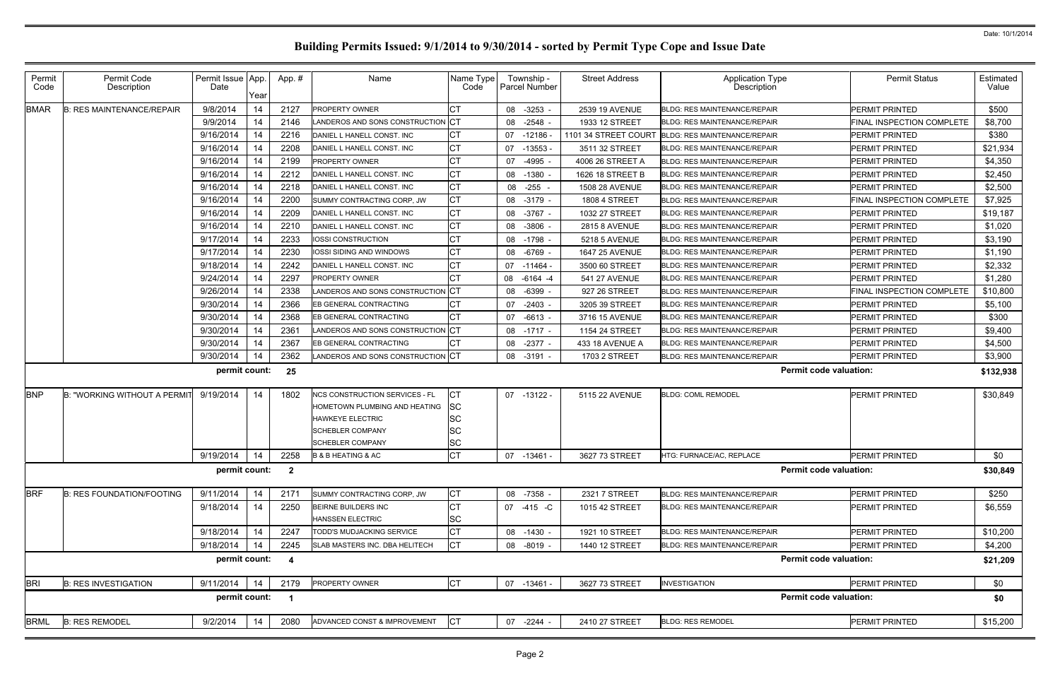| Permit<br>Code | Permit Code<br>Description                      | Permit Issue App.<br>Date | Year | App.#                   | Name                                           | Name Type<br>Code | Township -<br><b>Parcel Number</b> | <b>Street Address</b> | Application Type<br>Description                   | <b>Permit Status</b>      | Estimated<br>Value |
|----------------|-------------------------------------------------|---------------------------|------|-------------------------|------------------------------------------------|-------------------|------------------------------------|-----------------------|---------------------------------------------------|---------------------------|--------------------|
| <b>BMAR</b>    | <b>B: RES MAINTENANCE/REPAIR</b>                | 9/8/2014                  | 14   | 2127                    | <b>PROPERTY OWNER</b>                          |                   | 08 -3253 -                         | 2539 19 AVENUE        | <b>BLDG: RES MAINTENANCE/REPAIR</b>               | <b>PERMIT PRINTED</b>     | \$500              |
|                |                                                 | 9/9/2014                  | 14   | 2146                    | LANDEROS AND SONS CONSTRUCTION CT              |                   | 08 -2548                           | 1933 12 STREET        | <b>BLDG: RES MAINTENANCE/REPAIR</b>               | FINAL INSPECTION COMPLETE | \$8,700            |
|                |                                                 | 9/16/2014                 | 14   | 2216                    | DANIEL L HANELL CONST. INC                     | CТ                | 07<br>-12186                       |                       | 1101 34 STREET COURT BLDG: RES MAINTENANCE/REPAIR | PERMIT PRINTED            | \$380              |
|                |                                                 | 9/16/2014                 | 14   | 2208                    | DANIEL L HANELL CONST. INC                     | СT                | 07<br>-13553                       | 3511 32 STREET        | <b>BLDG: RES MAINTENANCE/REPAIR</b>               | PERMIT PRINTED            | \$21,934           |
|                |                                                 | 9/16/2014                 | 14   | 2199                    | PROPERTY OWNER                                 | СT                | $-4995$<br>07                      | 4006 26 STREET A      | <b>BLDG: RES MAINTENANCE/REPAIR</b>               | PERMIT PRINTED            | \$4,350            |
|                |                                                 | 9/16/2014                 | 14   | 2212                    | DANIEL L HANELL CONST. INC                     | СT                | 08 -1380                           | 1626 18 STREET B      | <b>BLDG: RES MAINTENANCE/REPAIR</b>               | PERMIT PRINTED            | \$2,450            |
|                |                                                 | 9/16/2014                 | 14   | 2218                    | DANIEL L HANELL CONST. INC                     | СT                | -255<br>08                         | <b>1508 28 AVENUE</b> | <b>BLDG: RES MAINTENANCE/REPAIR</b>               | PERMIT PRINTED            | \$2,500            |
|                |                                                 | 9/16/2014                 | 14   | 2200                    | SUMMY CONTRACTING CORP, JW                     | СT                | 08 -3179 -                         | <b>1808 4 STREET</b>  | <b>BLDG: RES MAINTENANCE/REPAIR</b>               | FINAL INSPECTION COMPLETE | \$7,925            |
|                |                                                 | 9/16/2014                 | 14   | 2209                    | DANIEL L HANELL CONST. INC                     | СT                | -3767 -<br>08                      | 1032 27 STREET        | <b>BLDG: RES MAINTENANCE/REPAIR</b>               | PERMIT PRINTED            | \$19,187           |
|                |                                                 | 9/16/2014                 | 14   | 2210                    | DANIEL L HANELL CONST. INC                     | СT                | 08<br>$-3806 -$                    | <b>2815 8 AVENUE</b>  | BLDG: RES MAINTENANCE/REPAIR                      | PERMIT PRINTED            | \$1,020            |
|                |                                                 | 9/17/2014                 | 14   | 2233                    | <b>IOSSI CONSTRUCTION</b>                      | СT                | 08 -1798 -                         | 5218 5 AVENUE         | <b>BLDG: RES MAINTENANCE/REPAIR</b>               | PERMIT PRINTED            | \$3,190            |
|                |                                                 | 9/17/2014                 | 14   | 2230                    | IOSSI SIDING AND WINDOWS                       | CТ                | 08<br>-6769 -                      | <b>1647 25 AVENUE</b> | BLDG: RES MAINTENANCE/REPAIR                      | PERMIT PRINTED            | \$1,190            |
|                |                                                 | 9/18/2014                 | 14   | 2242                    | DANIEL L HANELL CONST. INC                     | СT                | 07 -11464                          | 3500 60 STREET        | <b>BLDG: RES MAINTENANCE/REPAIR</b>               | PERMIT PRINTED            | \$2,332            |
|                |                                                 | 9/24/2014                 | 14   | 2297                    | PROPERTY OWNER                                 |                   | 08 -6164 -4                        | 541 27 AVENUE         | <b>BLDG: RES MAINTENANCE/REPAIR</b>               | PERMIT PRINTED            | \$1,280            |
|                |                                                 | 9/26/2014                 | 14   | 2338                    | LANDEROS AND SONS CONSTRUCTION CT              |                   | 08 -6399 -                         | 927 26 STREET         | <b>BLDG: RES MAINTENANCE/REPAIR</b>               | FINAL INSPECTION COMPLETE | \$10,800           |
|                |                                                 | 9/30/2014                 | 14   | 2366                    | EB GENERAL CONTRACTING                         |                   | 07<br>$-2403 -$                    | 3205 39 STREET        | <b>BLDG: RES MAINTENANCE/REPAIR</b>               | PERMIT PRINTED            | \$5,100            |
|                |                                                 | 9/30/2014                 | 14   | 2368                    | EB GENERAL CONTRACTING                         | СT                | 07<br>$-6613 -$                    | 3716 15 AVENUE        | <b>BLDG: RES MAINTENANCE/REPAIR</b>               | PERMIT PRINTED            | \$300              |
|                |                                                 | 9/30/2014                 | 14   | 2361                    | LANDEROS AND SONS CONSTRUCTION                 | ⊧lCT              | 08 -1717 -                         | 1154 24 STREET        | <b>BLDG: RES MAINTENANCE/REPAIR</b>               | PERMIT PRINTED            | \$9,400            |
|                |                                                 | 9/30/2014                 | 14   | 2367                    | EB GENERAL CONTRACTING                         |                   | 08 -2377 -                         | 433 18 AVENUE A       | <b>BLDG: RES MAINTENANCE/REPAIR</b>               | <b>PERMIT PRINTED</b>     | \$4,500            |
|                |                                                 | 9/30/2014                 | 14   | 2362                    | LANDEROS AND SONS CONSTRUCTION CT              |                   | 08 -3191 -                         | 1703 2 STREET         | BLDG: RES MAINTENANCE/REPAIR                      | PERMIT PRINTED            | \$3,900            |
|                |                                                 | permit count:             |      | 25                      |                                                |                   |                                    |                       | <b>Permit code valuation:</b>                     |                           | \$132,938          |
| <b>BNP</b>     | <b>B: "WORKING WITHOUT A PERMIT</b>             | 9/19/2014                 | 14   | 1802                    | <b>NCS CONSTRUCTION SERVICES - FL</b>          | IСT               | 07 -13122 -                        | 5115 22 AVENUE        | <b>BLDG: COML REMODEL</b>                         | PERMIT PRINTED            | \$30,849           |
|                |                                                 |                           |      |                         | HOMETOWN PLUMBING AND HEATING                  | <b>SC</b>         |                                    |                       |                                                   |                           |                    |
|                |                                                 |                           |      |                         | <b>HAWKEYE ELECTRIC</b>                        | ΙSC               |                                    |                       |                                                   |                           |                    |
|                |                                                 |                           |      |                         | <b>SCHEBLER COMPANY</b>                        | ΙSC               |                                    |                       |                                                   |                           |                    |
|                |                                                 |                           |      |                         | <b>SCHEBLER COMPANY</b>                        | SC                |                                    |                       |                                                   |                           |                    |
|                |                                                 |                           |      |                         | 9/19/2014   14   2258   B & B HEATING & AC     | Iст               | $07 - 13461 -$                     | 3627 73 STREET        | HTG: FURNACE/AC, REPLACE                          | PERMIT PRINTED            | \$0                |
|                |                                                 | permit count: 2           |      |                         |                                                |                   |                                    |                       | <b>Permit code valuation:</b>                     |                           | \$30,849           |
| <b>BRF</b>     | <b>B: RES FOUNDATION/FOOTING</b>                | 9/11/2014                 | 14   | 2171                    | SUMMY CONTRACTING CORP, JW                     | СT                | 08 -7358 -                         | 2321 7 STREET         | BLDG: RES MAINTENANCE/REPAIR                      | PERMIT PRINTED            | \$250              |
|                |                                                 | 9/18/2014                 | 14   | 2250                    | BEIRNE BUILDERS INC<br><b>HANSSEN ELECTRIC</b> | СT<br><b>SC</b>   | 07 -415 -C                         | 1015 42 STREET        | <b>BLDG: RES MAINTENANCE/REPAIR</b>               | PERMIT PRINTED            | \$6,559            |
|                |                                                 | 9/18/2014                 | 14   | 2247                    | TODD'S MUDJACKING SERVICE                      | СT                | 08 -1430 -                         | 1921 10 STREET        | <b>BLDG: RES MAINTENANCE/REPAIR</b>               | PERMIT PRINTED            | \$10,200           |
|                |                                                 | 9/18/2014                 | 14   | 2245                    | SLAB MASTERS INC. DBA HELITECH                 | <b>CT</b>         | 08 -8019 -                         | 1440 12 STREET        | <b>BLDG: RES MAINTENANCE/REPAIR</b>               | PERMIT PRINTED            | \$4,200            |
|                |                                                 | permit count:             |      | $\overline{\mathbf{4}}$ |                                                |                   |                                    |                       | <b>Permit code valuation:</b>                     |                           | \$21,209           |
| <b>BRI</b>     | <b>B: RES INVESTIGATION</b>                     | 9/11/2014                 | 14   | 2179                    | <b>PROPERTY OWNER</b>                          | <b>CT</b>         | 07 -13461 -                        | 3627 73 STREET        | <b>INVESTIGATION</b>                              | PERMIT PRINTED            | \$0                |
|                |                                                 | permit count:             |      |                         |                                                |                   |                                    |                       | <b>Permit code valuation:</b>                     |                           | \$0                |
| <b>BRML</b>    | <b>B: RES REMODEL</b><br>9/2/2014<br>2080<br>14 |                           |      |                         | ADVANCED CONST & IMPROVEMENT                   | <b>CT</b>         | 07 -2244 -                         | 2410 27 STREET        | <b>BLDG: RES REMODEL</b>                          | <b>PERMIT PRINTED</b>     | \$15,200           |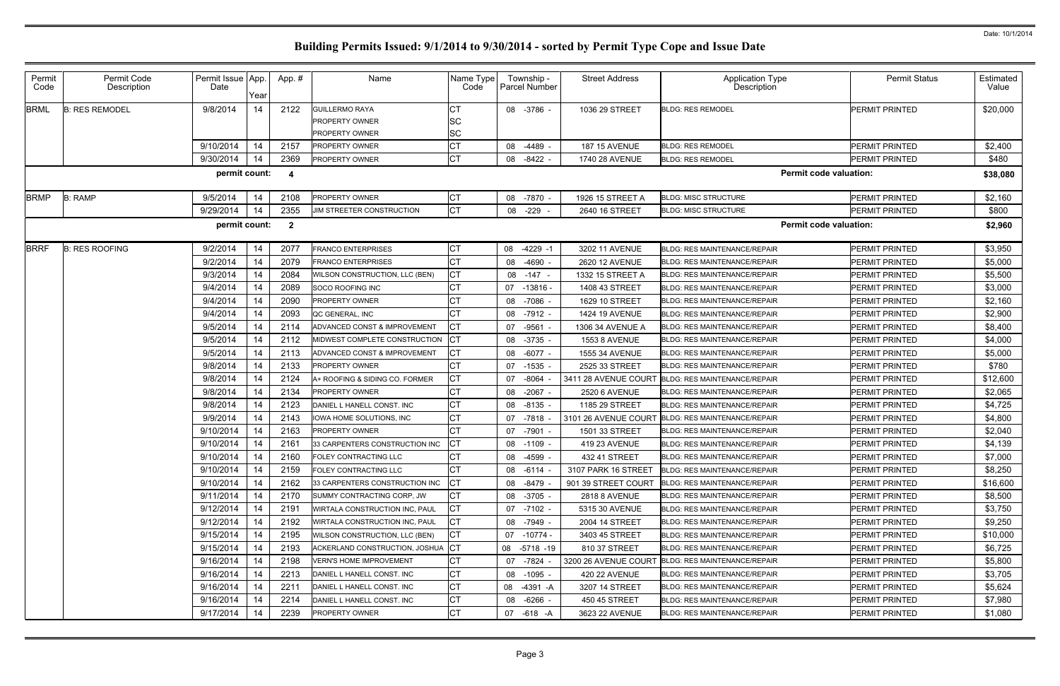| Permit<br>Code | Permit Code<br>Description | Permit Issue App.<br>Date | Year | App.#                   | Name                           | Name Type<br>Code | Township -<br><b>Parcel Number</b> | <b>Street Address</b> | <b>Application Type</b><br>Description            | <b>Permit Status</b>          | Estimated<br>Value |
|----------------|----------------------------|---------------------------|------|-------------------------|--------------------------------|-------------------|------------------------------------|-----------------------|---------------------------------------------------|-------------------------------|--------------------|
| <b>BRML</b>    | <b>B: RES REMODEL</b>      | 9/8/2014                  | 14   | 2122                    | <b>GUILLERMO RAYA</b>          | СT                | 08 -3786                           | 1036 29 STREET        | <b>BLDG: RES REMODEL</b>                          | <b>PERMIT PRINTED</b>         | \$20,000           |
|                |                            |                           |      |                         | <b>PROPERTY OWNER</b>          | lSC               |                                    |                       |                                                   |                               |                    |
|                |                            |                           |      |                         | <b>PROPERTY OWNER</b>          | <b>SC</b>         |                                    |                       |                                                   |                               |                    |
|                |                            | 9/10/2014                 | 14   | 2157                    | <b>PROPERTY OWNER</b>          | СT                | 08 -4489                           | <b>187 15 AVENUE</b>  | <b>BLDG: RES REMODEL</b>                          | PERMIT PRINTED                | \$2,400            |
|                |                            | 9/30/2014                 | 14   | 2369                    | PROPERTY OWNER                 | CT                | $-8422$<br>08                      | 1740 28 AVENUE        | <b>BLDG: RES REMODEL</b>                          | <b>PERMIT PRINTED</b>         | \$480              |
|                |                            | permit count:             |      | -4                      |                                |                   |                                    |                       |                                                   | <b>Permit code valuation:</b> | \$38,080           |
| <b>BRMP</b>    | <b>B: RAMP</b>             | 9/5/2014                  | 14   | 2108                    | PROPERTY OWNER                 | CT                | 08 -7870                           | 1926 15 STREET A      | <b>BLDG: MISC STRUCTURE</b>                       | <b>PERMIT PRINTED</b>         | \$2,160            |
|                |                            | 9/29/2014                 | 14   | 2355                    | JIM STREETER CONSTRUCTION      | <b>CT</b>         | 08<br>$-229$                       | 2640 16 STREET        | <b>BLDG: MISC STRUCTURE</b>                       | PERMIT PRINTED                | \$800              |
|                |                            | permit count:             |      | $\overline{\mathbf{2}}$ |                                |                   |                                    |                       |                                                   | <b>Permit code valuation:</b> | \$2,960            |
| <b>BRRF</b>    | <b>B: RES ROOFING</b>      | 9/2/2014                  | 14   | 2077                    | <b>FRANCO ENTERPRISES</b>      | СT                | 08 -4229 -1                        | 3202 11 AVENUE        | <b>BLDG: RES MAINTENANCE/REPAIR</b>               | PERMIT PRINTED                | \$3,950            |
|                |                            | 9/2/2014                  | 14   | 2079                    | <b>FRANCO ENTERPRISES</b>      | <b>CT</b>         | 08 -4690                           | <b>2620 12 AVENUE</b> | <b>BLDG: RES MAINTENANCE/REPAIR</b>               | <b>PERMIT PRINTED</b>         | \$5,000            |
|                |                            | 9/3/2014                  | 14   | 2084                    | WILSON CONSTRUCTION, LLC (BEN) | CТ                | 08<br>-147                         | 1332 15 STREET A      | <b>BLDG: RES MAINTENANCE/REPAIR</b>               | <b>PERMIT PRINTED</b>         | \$5,500            |
|                |                            | 9/4/2014                  | 14   | 2089                    | SOCO ROOFING INC               | СT                | 07 -13816 -                        | 1408 43 STREET        | <b>BLDG: RES MAINTENANCE/REPAIR</b>               | <b>PERMIT PRINTED</b>         | \$3,000            |
|                |                            | 9/4/2014                  | 14   | 2090                    | <b>PROPERTY OWNER</b>          | <b>CT</b>         | -7086<br>08                        | 1629 10 STREET        | <b>BLDG: RES MAINTENANCE/REPAIR</b>               | <b>PERMIT PRINTED</b>         | \$2,160            |
|                |                            | 9/4/2014                  | 14   | 2093                    | QC GENERAL, INC                |                   | 08 -7912                           | 1424 19 AVENUE        | <b>BLDG: RES MAINTENANCE/REPAIR</b>               | <b>PERMIT PRINTED</b>         | \$2,900            |
|                |                            | 9/5/2014                  | 14   | 2114                    | ADVANCED CONST & IMPROVEMENT   | <b>CT</b>         | -9561<br>07                        | 1306 34 AVENUE A      | <b>BLDG: RES MAINTENANCE/REPAIR</b>               | <b>PERMIT PRINTED</b>         | \$8,400            |
|                |                            | 9/5/2014                  | 14   | 2112                    | MIDWEST COMPLETE CONSTRUCTION  | СT                | 08 -3735                           | <b>1553 8 AVENUE</b>  | <b>BLDG: RES MAINTENANCE/REPAIR</b>               | <b>PERMIT PRINTED</b>         | \$4,000            |
|                |                            | 9/5/2014                  | 14   | 2113                    | ADVANCED CONST & IMPROVEMENT   | <b>CT</b>         | 08 -6077                           | 1555 34 AVENUE        | <b>BLDG: RES MAINTENANCE/REPAIR</b>               | <b>PERMIT PRINTED</b>         | \$5,000            |
|                |                            | 9/8/2014                  | 14   | 2133                    | PROPERTY OWNER                 | CТ                | 07 -1535                           | 2525 33 STREET        | <b>BLDG: RES MAINTENANCE/REPAIR</b>               | <b>PERMIT PRINTED</b>         | \$780              |
|                |                            | 9/8/2014                  | 14   | 2124                    | A+ ROOFING & SIDING CO. FORMER | <b>CT</b>         | $-8064$<br>07                      | 3411 28 AVENUE COURT  | <b>BLDG: RES MAINTENANCE/REPAIR</b>               | PERMIT PRINTED                | \$12,600           |
|                |                            | 9/8/2014                  | 14   | 2134                    | PROPERTY OWNER                 | СT                | $08 - 2067$                        | 2520 6 AVENUE         | <b>BLDG: RES MAINTENANCE/REPAIR</b>               | <b>PERMIT PRINTED</b>         | \$2,065            |
|                |                            | 9/8/2014                  | 14   | 2123                    | DANIEL L HANELL CONST. INC     | CT                | 08 -8135                           | 1185 29 STREET        | <b>BLDG: RES MAINTENANCE/REPAIR</b>               | PERMIT PRINTED                | \$4,725            |
|                |                            | 9/9/2014                  | 14   | 2143                    | IOWA HOME SOLUTIONS, INC       | СT                | 07 -7818                           | 3101 26 AVENUE COURT  | <b>BLDG: RES MAINTENANCE/REPAIR</b>               | <b>PERMIT PRINTED</b>         | \$4,800            |
|                |                            | 9/10/2014                 | 14   | 2163                    | <b>PROPERTY OWNER</b>          | CТ                | $-7901$<br>07                      | 1501 33 STREET        | <b>BLDG: RES MAINTENANCE/REPAIR</b>               | PERMIT PRINTED                | \$2,040            |
|                |                            | 9/10/2014                 | 14   | 2161                    | 33 CARPENTERS CONSTRUCTION INC | CТ                | 08 -1109                           | 419 23 AVENUE         | <b>BLDG: RES MAINTENANCE/REPAIR</b>               | PERMIT PRINTED                | \$4,139            |
|                |                            | 9/10/2014                 | 14   | 2160                    | FOLEY CONTRACTING LLC          | $\Gamma$<br>ו טן  | 08 -4599 -                         | 432 41 STREET         | <b>BLDG: RES MAINTENANCE/REPAIR</b>               | PERMIT PRINTED                | \$7,000            |
|                |                            | 9/10/2014                 | 14   | 2159                    | FOLEY CONTRACTING LLC          | СT                | 08 -6114                           | 3107 PARK 16 STREET   | <b>BLDG: RES MAINTENANCE/REPAIR</b>               | PERMIT PRINTED                | \$8,250            |
|                |                            | 9/10/2014                 | 14   | 2162                    | 33 CARPENTERS CONSTRUCTION INC | СT                | 08 -8479                           | 901 39 STREET COURT   | <b>BLDG: RES MAINTENANCE/REPAIR</b>               | PERMIT PRINTED                | \$16,600           |
|                |                            | 9/11/2014                 | 14   | 2170                    | SUMMY CONTRACTING CORP, JW     | СT                | 08 -3705                           | 2818 8 AVENUE         | <b>BLDG: RES MAINTENANCE/REPAIR</b>               | PERMIT PRINTED                | \$8,500            |
|                |                            | 9/12/2014                 | 14   | 2191                    | WIRTALA CONSTRUCTION INC, PAUL | СT                | 07 -7102 -                         | 5315 30 AVENUE        | <b>BLDG: RES MAINTENANCE/REPAIR</b>               | <b>PERMIT PRINTED</b>         | \$3,750            |
|                |                            | 9/12/2014                 | 14   | 2192                    | WIRTALA CONSTRUCTION INC, PAUL | СT                | 08 -7949 -                         | 2004 14 STREET        | <b>BLDG: RES MAINTENANCE/REPAIR</b>               | PERMIT PRINTED                | \$9,250            |
|                |                            | 9/15/2014                 | 14   | 2195                    | WILSON CONSTRUCTION, LLC (BEN) | СT                | 07 -10774 -                        | 3403 45 STREET        | <b>BLDG: RES MAINTENANCE/REPAIR</b>               | <b>PERMIT PRINTED</b>         | \$10,000           |
|                |                            | 9/15/2014                 | 14   | 2193                    | ACKERLAND CONSTRUCTION, JOSHUA | IСТ               | 08 -5718 -19                       | 810 37 STREET         | <b>BLDG: RES MAINTENANCE/REPAIR</b>               | PERMIT PRINTED                | \$6,725            |
|                |                            | 9/16/2014                 | 14   | 2198                    | VERN'S HOME IMPROVEMENT        | СT                | 07 -7824                           |                       | 3200 26 AVENUE COURT BLDG: RES MAINTENANCE/REPAIR | <b>PERMIT PRINTED</b>         | \$5,800            |
|                |                            | 9/16/2014                 | 14   | 2213                    | DANIEL L HANELL CONST. INC     | СT                | $08 - 1095$                        | 420 22 AVENUE         | <b>BLDG: RES MAINTENANCE/REPAIR</b>               | PERMIT PRINTED                | \$3,705            |
|                |                            | 9/16/2014                 | 14   | 2211                    | DANIEL L HANELL CONST. INC     | CT                | 08 -4391 -A                        | 3207 14 STREET        | <b>BLDG: RES MAINTENANCE/REPAIR</b>               | <b>PERMIT PRINTED</b>         | \$5,624            |
|                |                            | 9/16/2014                 | 14   | 2214                    | DANIEL L HANELL CONST. INC     | <b>CT</b>         | 08 -6266 -                         | 450 45 STREET         | <b>BLDG: RES MAINTENANCE/REPAIR</b>               | PERMIT PRINTED                | \$7,980            |
|                |                            | 9/17/2014                 | -14  | 2239                    | <b>PROPERTY OWNER</b>          | <b>CT</b>         | 07 -618 -A                         | 3623 22 AVENUE        | <b>BLDG: RES MAINTENANCE/REPAIR</b>               | <b>PERMIT PRINTED</b>         | \$1,080            |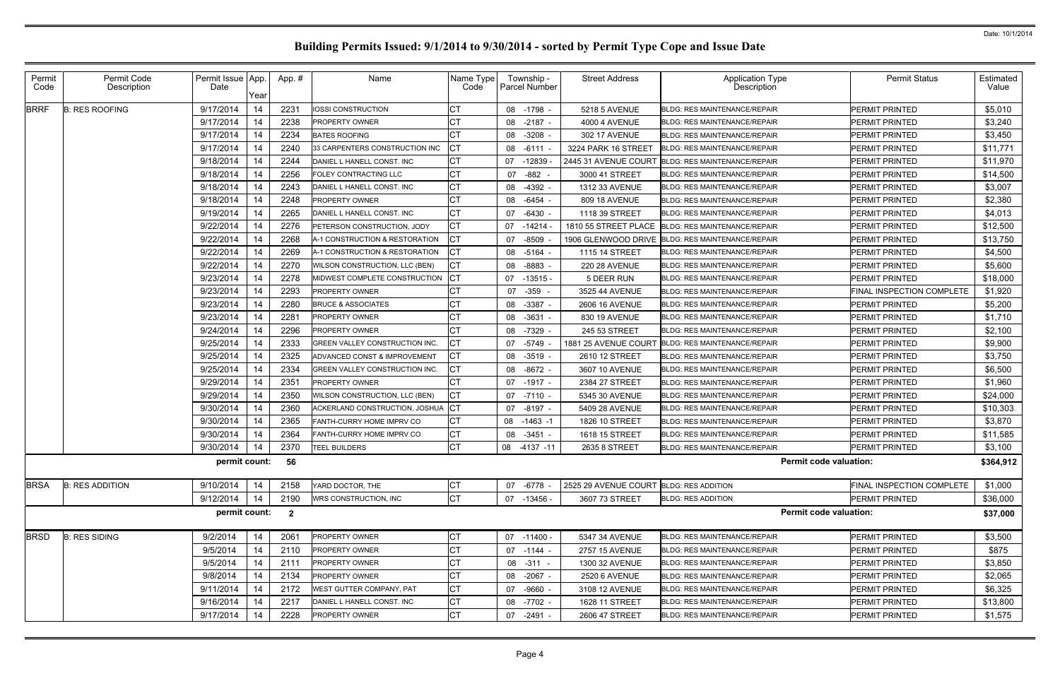| Permit<br>Code | Permit Code<br>Description | Permit Issue App.<br>Date | Year | App.#                   | Name                           | Name Type<br>Code | Township -<br><b>Parcel Number</b> | <b>Street Address</b>                   | Application Type<br>Description     | <b>Permit Status</b>      | Estimated<br>Value |
|----------------|----------------------------|---------------------------|------|-------------------------|--------------------------------|-------------------|------------------------------------|-----------------------------------------|-------------------------------------|---------------------------|--------------------|
| <b>BRRF</b>    | <b>B: RES ROOFING</b>      | 9/17/2014                 | 14   | 2231                    | <b>IOSSI CONSTRUCTION</b>      |                   | 08 -1798 -                         | 5218 5 AVENUE                           | <b>BLDG: RES MAINTENANCE/REPAIR</b> | PERMIT PRINTED            | \$5,010            |
|                |                            | 9/17/2014                 | 14   | 2238                    | PROPERTY OWNER                 | СT                | 08<br>$-2187 -$                    | <b>4000 4 AVENUE</b>                    | <b>BLDG: RES MAINTENANCE/REPAIR</b> | PERMIT PRINTED            | \$3,240            |
|                |                            | 9/17/2014                 | 14   | 2234                    | <b>BATES ROOFING</b>           |                   | $-3208$<br>08                      | 302 17 AVENUE                           | BLDG: RES MAINTENANCE/REPAIR        | PERMIT PRINTED            | \$3,450            |
|                |                            | 9/17/2014                 | 14   | 2240                    | 33 CARPENTERS CONSTRUCTION INC | СT                | $-6111$<br>08                      | 3224 PARK 16 STREET                     | <b>BLDG: RES MAINTENANCE/REPAIR</b> | PERMIT PRINTED            | \$11,771           |
|                |                            | 9/18/2014                 | 14   | 2244                    | DANIEL L HANELL CONST. INC     | СT                | -12839<br>07                       | 2445 31 AVENUE COURT                    | <b>BLDG: RES MAINTENANCE/REPAIR</b> | PERMIT PRINTED            | \$11,970           |
|                |                            | 9/18/2014                 | 14   | 2256                    | FOLEY CONTRACTING LLC          | СT                | -882<br>07                         | 3000 41 STREET                          | <b>BLDG: RES MAINTENANCE/REPAIR</b> | PERMIT PRINTED            | \$14,500           |
|                |                            | 9/18/2014                 | 14   | 2243                    | DANIEL L HANELL CONST. INC     | СT                | -4392<br>08                        | 1312 33 AVENUE                          | <b>BLDG: RES MAINTENANCE/REPAIR</b> | PERMIT PRINTED            | \$3,007            |
|                |                            | 9/18/2014                 | 14   | 2248                    | <b>PROPERTY OWNER</b>          | СT                | $-6454$<br>08                      | 809 18 AVENUE                           | <b>BLDG: RES MAINTENANCE/REPAIR</b> | <b>PERMIT PRINTED</b>     | \$2,380            |
|                |                            | 9/19/2014                 | 14   | 2265                    | DANIEL L HANELL CONST. INC     | СТ                | $-6430$<br>07                      | 1118 39 STREET                          | <b>BLDG: RES MAINTENANCE/REPAIR</b> | PERMIT PRINTED            | \$4,013            |
|                |                            | 9/22/2014                 | 14   | 2276                    | PETERSON CONSTRUCTION, JODY    | СT                | 07 -14214                          | 1810 55 STREET PLACE                    | <b>BLDG: RES MAINTENANCE/REPAIR</b> | <b>PERMIT PRINTED</b>     | \$12,500           |
|                |                            | 9/22/2014                 | 14   | 2268                    | A-1 CONSTRUCTION & RESTORATION | СТ                | -8509<br>07                        | 1906 GLENWOOD DRIVE                     | <b>BLDG: RES MAINTENANCE/REPAIR</b> | PERMIT PRINTED            | \$13,750           |
|                |                            | 9/22/2014                 | 14   | 2269                    | A-1 CONSTRUCTION & RESTORATION | СT                | $-5164$<br>08                      | 1115 14 STREET                          | <b>BLDG: RES MAINTENANCE/REPAIR</b> | <b>PERMIT PRINTED</b>     | \$4,500            |
|                |                            | 9/22/2014                 | 14   | 2270                    | WILSON CONSTRUCTION, LLC (BEN) | СТ                | -8883<br>08                        | <b>220 28 AVENUE</b>                    | <b>BLDG: RES MAINTENANCE/REPAIR</b> | PERMIT PRINTED            | \$5,600            |
|                |                            | 9/23/2014                 | 14   | 2278                    | MIDWEST COMPLETE CONSTRUCTION  | СT                | $-13515$ -<br>07                   | 5 DEER RUN                              | BLDG: RES MAINTENANCE/REPAIR        | PERMIT PRINTED            | \$18,000           |
|                |                            | 9/23/2014                 | 14   | 2293                    | <b>PROPERTY OWNER</b>          | СΤ                | -359<br>07                         | 3525 44 AVENUE                          | <b>BLDG: RES MAINTENANCE/REPAIR</b> | FINAL INSPECTION COMPLETE | \$1,920            |
|                |                            | 9/23/2014                 | 14   | 2280                    | <b>BRUCE &amp; ASSOCIATES</b>  | СT                | $-3387 -$<br>08                    | 2606 16 AVENUE                          | BLDG: RES MAINTENANCE/REPAIR        | <b>PERMIT PRINTED</b>     | \$5,200            |
|                |                            | 9/23/2014                 | 14   | 2281                    | <b>PROPERTY OWNER</b>          | CТ                | $-3631$<br>08                      | 830 19 AVENUE                           | <b>BLDG: RES MAINTENANCE/REPAIR</b> | PERMIT PRINTED            | \$1,710            |
|                |                            | 9/24/2014                 | 14   | 2296                    | PROPERTY OWNER                 | СT                | -7329<br>08                        | 245 53 STREET                           | <b>BLDG: RES MAINTENANCE/REPAIR</b> | <b>PERMIT PRINTED</b>     | \$2,100            |
|                |                            | 9/25/2014                 | 14   | 2333                    | GREEN VALLEY CONSTRUCTION INC. | СT                | 07 -5749                           | 1881 25 AVENUE COURT                    | <b>BLDG: RES MAINTENANCE/REPAIR</b> | PERMIT PRINTED            | \$9,900            |
|                |                            | 9/25/2014                 | 14   | 2325                    | ADVANCED CONST & IMPROVEMENT   | СT                | $-3519$<br>08                      | 2610 12 STREET                          | <b>BLDG: RES MAINTENANCE/REPAIR</b> | PERMIT PRINTED            | \$3,750            |
|                |                            | 9/25/2014                 | 14   | 2334                    | GREEN VALLEY CONSTRUCTION INC. | СT                | 08 -8672 -                         | 3607 10 AVENUE                          | <b>BLDG: RES MAINTENANCE/REPAIR</b> | PERMIT PRINTED            | \$6,500            |
|                |                            | 9/29/2014                 | 14   | 2351                    | <b>PROPERTY OWNER</b>          | СT                | 07<br>-1917 -                      | 2384 27 STREET                          | <b>BLDG: RES MAINTENANCE/REPAIR</b> | PERMIT PRINTED            | \$1,960            |
|                |                            | 9/29/2014                 | 14   | 2350                    | WILSON CONSTRUCTION, LLC (BEN) | СT                | 07 -7110 -                         | 5345 30 AVENUE                          | <b>BLDG: RES MAINTENANCE/REPAIR</b> | PERMIT PRINTED            | \$24,000           |
|                |                            | 9/30/2014                 | 14   | 2360                    | ACKERLAND CONSTRUCTION, JOSHUA | СT                | $-8197 -$<br>07                    | 5409 28 AVENUE                          | <b>BLDG: RES MAINTENANCE/REPAIR</b> | PERMIT PRINTED            | \$10,303           |
|                |                            | 9/30/2014                 | 14   | 2365                    | FANTH-CURRY HOME IMPRV CO      | СT                | $-1463 -1$<br>08                   | 1826 10 STREET                          | BLDG: RES MAINTENANCE/REPAIR        | PERMIT PRINTED            | \$3,870            |
|                |                            | 9/30/2014                 | 14   | 2364                    | FANTH-CURRY HOME IMPRV CO      | СT                | 08<br>-3451                        | 1618 15 STREET                          | <b>BLDG: RES MAINTENANCE/REPAIR</b> | PERMIT PRINTED            | \$11,585           |
|                |                            | 9/30/2014                 | 14   | 2370                    | <b>TEEL BUILDERS</b>           |                   | 08 -4137 -11                       | 2635 8 STREET                           | <b>BLDG: RES MAINTENANCE/REPAIR</b> | PERMIT PRINTED            | \$3,100            |
|                |                            | permit count: 56          |      |                         |                                |                   |                                    |                                         | <b>Permit code valuation:</b>       |                           | \$364,912          |
| <b>BRSA</b>    | <b>B: RES ADDITION</b>     | 9/10/2014                 | 14   | 2158                    | YARD DOCTOR, THE               | СT                | 07 -6778                           | 2525 29 AVENUE COURT BLDG: RES ADDITION |                                     | FINAL INSPECTION COMPLETE | \$1,000            |
|                |                            | 9/12/2014                 | 14   | 2190                    | WRS CONSTRUCTION, INC          | СT                | 07 -13456                          | 3607 73 STREET                          | <b>BLDG: RES ADDITION</b>           | PERMIT PRINTED            | \$36,000           |
|                |                            | permit count:             |      | $\overline{\mathbf{2}}$ |                                |                   |                                    |                                         | <b>Permit code valuation:</b>       |                           | \$37,000           |
| <b>BRSD</b>    | <b>B: RES SIDING</b>       | 9/2/2014                  | 14   | 2061                    | <b>PROPERTY OWNER</b>          | СT                | 07 -11400 -                        | 5347 34 AVENUE                          | <b>BLDG: RES MAINTENANCE/REPAIR</b> | PERMIT PRINTED            | \$3,500            |
|                |                            | 9/5/2014                  | 14   | 2110                    | PROPERTY OWNER                 | СT                | 07 -1144 -                         | 2757 15 AVENUE                          | <b>BLDG: RES MAINTENANCE/REPAIR</b> | PERMIT PRINTED            | \$875              |
|                |                            | 9/5/2014                  | 14   | 2111                    | <b>PROPERTY OWNER</b>          |                   | 08 -311 -                          | 1300 32 AVENUE                          | <b>BLDG: RES MAINTENANCE/REPAIR</b> | PERMIT PRINTED            | \$3,850            |
|                |                            | 9/8/2014                  | 14   | 2134                    | <b>PROPERTY OWNER</b>          | СT                | 08 -2067 -                         | 2520 6 AVENUE                           | <b>BLDG: RES MAINTENANCE/REPAIR</b> | PERMIT PRINTED            | \$2,065            |
|                |                            | 9/11/2014                 | 14   | 2172                    | WEST GUTTER COMPANY, PAT       | СT                | 07 -9660 -                         | 3108 12 AVENUE                          | <b>BLDG: RES MAINTENANCE/REPAIR</b> | PERMIT PRINTED            | \$6,325            |
|                |                            | 9/16/2014                 | 14   | 2217                    | DANIEL L HANELL CONST. INC     | СT                | -7702 -<br>08                      | 1628 11 STREET                          | <b>BLDG: RES MAINTENANCE/REPAIR</b> | PERMIT PRINTED            | \$13,800           |
|                |                            | 9/17/2014                 | 14   | 2228                    | PROPERTY OWNER                 | СT                | 07 -2491 -                         | 2606 47 STREET                          | BLDG: RES MAINTENANCE/REPAIR        | PERMIT PRINTED            | \$1,575            |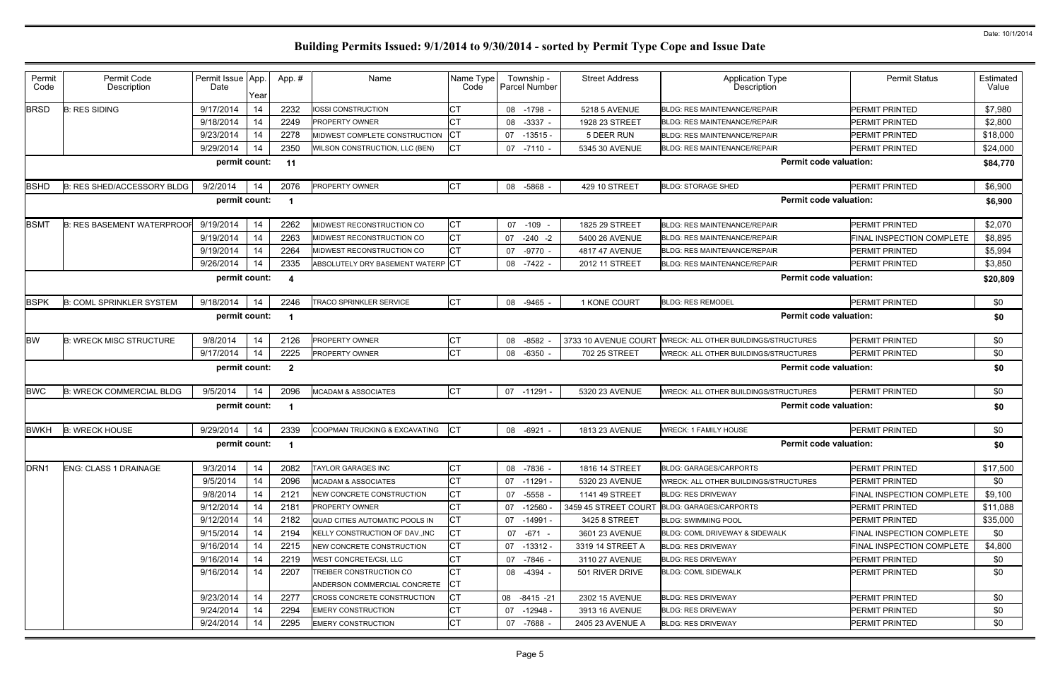| Permit<br>Code   | Permit Code<br>Description       | Permit Issue App.<br>Date | Year | App.#                   | Name                                                    | Name Type<br>Code | Township -<br>Parcel Number | <b>Street Address</b> | <b>Application Type</b><br>Description       | <b>Permit Status</b>             | Estimated<br>Value |
|------------------|----------------------------------|---------------------------|------|-------------------------|---------------------------------------------------------|-------------------|-----------------------------|-----------------------|----------------------------------------------|----------------------------------|--------------------|
| <b>BRSD</b>      | <b>B: RES SIDING</b>             | 9/17/2014                 | 14   | 2232                    | <b>IOSSI CONSTRUCTION</b>                               |                   | 08 -1798 -                  | 5218 5 AVENUE         | <b>BLDG: RES MAINTENANCE/REPAIR</b>          | PERMIT PRINTED                   | \$7,980            |
|                  |                                  | 9/18/2014                 | 14   | 2249                    | <b>PROPERTY OWNER</b>                                   | <b>CT</b>         | 08<br>$-3337$               | 1928 23 STREET        | <b>BLDG: RES MAINTENANCE/REPAIR</b>          | PERMIT PRINTED                   | \$2,800            |
|                  |                                  | 9/23/2014                 | 14   | 2278                    | MIDWEST COMPLETE CONSTRUCTION                           | СT                | 07<br>$-13515$              | 5 DEER RUN            | <b>BLDG: RES MAINTENANCE/REPAIR</b>          | PERMIT PRINTED                   | \$18,000           |
|                  |                                  | 9/29/2014                 | 14   | 2350                    | WILSON CONSTRUCTION, LLC (BEN)                          | <b>CT</b>         | 07 -7110 -                  | 5345 30 AVENUE        | <b>BLDG: RES MAINTENANCE/REPAIR</b>          | PERMIT PRINTED                   | \$24,000           |
|                  |                                  | permit count:             |      | 11                      |                                                         |                   |                             |                       | <b>Permit code valuation:</b>                |                                  | \$84,770           |
| <b>BSHD</b>      | B: RES SHED/ACCESSORY BLDG       | 9/2/2014                  | 14   | 2076                    | PROPERTY OWNER                                          | <b>CT</b>         | 08 -5868                    | 429 10 STREET         | <b>BLDG: STORAGE SHED</b>                    | PERMIT PRINTED                   | \$6,900            |
|                  |                                  | permit count:             |      |                         |                                                         |                   |                             |                       | <b>Permit code valuation:</b>                |                                  | \$6,900            |
| <b>BSMT</b>      | <b>B: RES BASEMENT WATERPROO</b> | 9/19/2014                 | 14   | 2262                    | MIDWEST RECONSTRUCTION CO                               | <b>CT</b>         | 07 -109 -                   | 1825 29 STREET        | <b>BLDG: RES MAINTENANCE/REPAIR</b>          | <b>PERMIT PRINTED</b>            | \$2,070            |
|                  |                                  | 9/19/2014                 | 14   | 2263                    | MIDWEST RECONSTRUCTION CO                               | СT                | $07 -240 -2$                | 5400 26 AVENUE        | <b>BLDG: RES MAINTENANCE/REPAIR</b>          | FINAL INSPECTION COMPLETE        | \$8,895            |
|                  |                                  | 9/19/2014                 | 14   | 2264                    | MIDWEST RECONSTRUCTION CO                               | CT                | $-9770$<br>07               | 4817 47 AVENUE        | <b>BLDG: RES MAINTENANCE/REPAIR</b>          | PERMIT PRINTED                   | \$5,994            |
|                  |                                  | 9/26/2014                 | 14   | 2335                    | ABSOLUTELY DRY BASEMENT WATERP CT                       |                   | 08 -7422                    | 2012 11 STREET        | <b>BLDG: RES MAINTENANCE/REPAIR</b>          | PERMIT PRINTED                   | \$3,850            |
|                  |                                  | permit count:             |      | - 4                     |                                                         |                   |                             |                       | <b>Permit code valuation:</b>                |                                  | \$20,809           |
| <b>BSPK</b>      | <b>B: COML SPRINKLER SYSTEM</b>  | 9/18/2014                 | 14   | 2246                    | <b>TRACO SPRINKLER SERVICE</b>                          | <b>CT</b>         | 08 -9465                    | 1 KONE COURT          | <b>BLDG: RES REMODEL</b>                     | <b>PERMIT PRINTED</b>            | \$0                |
|                  |                                  | permit count:             |      | - 1                     |                                                         |                   |                             |                       | <b>Permit code valuation:</b>                |                                  | \$0                |
| <b>BW</b>        | <b>B: WRECK MISC STRUCTURE</b>   | 9/8/2014                  | 14   | 2126                    | PROPERTY OWNER                                          | СT                | $-8582$<br>08               | 3733 10 AVENUE COURT  | <b>WRECK: ALL OTHER BUILDINGS/STRUCTURES</b> | <b>PERMIT PRINTED</b>            | \$0                |
|                  |                                  | 9/17/2014                 | 14   | 2225                    | PROPERTY OWNER                                          | <b>CT</b>         | 08 -6350                    | 702 25 STREET         | WRECK: ALL OTHER BUILDINGS/STRUCTURES        | <b>PERMIT PRINTED</b>            | \$0                |
|                  |                                  | permit count:             |      | $\overline{\mathbf{2}}$ |                                                         |                   |                             |                       | <b>Permit code valuation:</b>                |                                  | \$0                |
| <b>BWC</b>       | <b>B: WRECK COMMERCIAL BLDG</b>  | 9/5/2014                  | 14   | 2096                    | <b>MCADAM &amp; ASSOCIATES</b>                          | <b>CT</b>         | 07 -11291                   | 5320 23 AVENUE        | WRECK: ALL OTHER BUILDINGS/STRUCTURES        | PERMIT PRINTED                   | \$0                |
|                  |                                  | permit count:             |      |                         |                                                         |                   |                             |                       | <b>Permit code valuation:</b>                |                                  | \$0                |
| <b>BWKH</b>      | <b>B: WRECK HOUSE</b>            | 9/29/2014                 | 14   | 2339                    | COOPMAN TRUCKING & EXCAVATING                           |                   | 08 -6921                    | 1813 23 AVENUE        | <b>WRECK: 1 FAMILY HOUSE</b>                 | PERMIT PRINTED                   | \$0                |
|                  |                                  | permit count:             |      | - 1                     |                                                         |                   |                             |                       | <b>Permit code valuation:</b>                |                                  | \$0                |
| DRN <sub>1</sub> | <b>ENG: CLASS 1 DRAINAGE</b>     | 9/3/2014                  | -14  | 2082                    | <b>TAYLOR GARAGES INC</b>                               | CT                | 08 -7836                    | 1816 14 STREET        | <b>BLDG: GARAGES/CARPORTS</b>                | <b>PERMIT PRINTED</b>            | \$17,500           |
|                  |                                  | 9/5/2014                  | 14   | 2096                    | <b>MCADAM &amp; ASSOCIATES</b>                          | СT                | $07 - 11291$                | 5320 23 AVENUE        | WRECK: ALL OTHER BUILDINGS/STRUCTURES        | <b>PERMIT PRINTED</b>            | \$0                |
|                  |                                  | 9/8/2014                  | -14  | 2121                    | NEW CONCRETE CONSTRUCTION                               | CT                | 07 -5558                    | 1141 49 STREET        | <b>BLDG: RES DRIVEWAY</b>                    | <b>FINAL INSPECTION COMPLETE</b> | \$9,100            |
|                  |                                  | 9/12/2014                 | 14   | 2181                    | <b>PROPERTY OWNER</b>                                   | СT                | -12560<br>07                |                       | 3459 45 STREET COURT BLDG: GARAGES/CARPORTS  | <b>PERMIT PRINTED</b>            | \$11,088           |
|                  |                                  | 9/12/2014                 | -14  | 2182                    | QUAD CITIES AUTOMATIC POOLS IN                          | СT                | 07 -14991                   | 3425 8 STREET         | <b>BLDG: SWIMMING POOL</b>                   | PERMIT PRINTED                   | \$35,000           |
|                  |                                  | 9/15/2014                 | 14   | 2194                    | <b>IKELLY CONSTRUCTION OF DAVINC</b>                    | СT                | -671<br>07                  | 3601 23 AVENUE        | <b>BLDG: COML DRIVEWAY &amp; SIDEWALK</b>    | <b>FINAL INSPECTION COMPLETE</b> | \$0                |
|                  |                                  | 9/16/2014                 | -14  | 2215                    | NEW CONCRETE CONSTRUCTION                               | СT                | 07 -13312 -                 | 3319 14 STREET A      | <b>BLDG: RES DRIVEWAY</b>                    | <b>FINAL INSPECTION COMPLETE</b> | \$4,800            |
|                  |                                  | 9/16/2014                 | 14   | 2219                    | <b>WEST CONCRETE/CSI, LLC</b>                           |                   | 07 -7846 -                  | 3110 27 AVENUE        | <b>BLDG: RES DRIVEWAY</b>                    | <b>PERMIT PRINTED</b>            | \$0                |
|                  |                                  | 9/16/2014                 | 14   | 2207                    | TREIBER CONSTRUCTION CO<br>ANDERSON COMMERCIAL CONCRETE | IСТ               | 08 -4394 -                  | 501 RIVER DRIVE       | <b>BLDG: COML SIDEWALK</b>                   | <b>PERMIT PRINTED</b>            | \$0                |
|                  |                                  | 9/23/2014                 | 14   | 2277                    | CROSS CONCRETE CONSTRUCTION                             | СT                | 08 -8415 -21                | 2302 15 AVENUE        | <b>BLDG: RES DRIVEWAY</b>                    | <b>PERMIT PRINTED</b>            | \$0                |
|                  |                                  | 9/24/2014                 | 14   | 2294                    | <b>EMERY CONSTRUCTION</b>                               | СT                | 07 -12948 -                 | 3913 16 AVENUE        | <b>BLDG: RES DRIVEWAY</b>                    | PERMIT PRINTED                   | \$0                |
|                  |                                  | 9/24/2014                 | -14  | 2295                    | <b>EMERY CONSTRUCTION</b>                               | СT                | 07 - 7688                   | 2405 23 AVENUE A      | <b>BLDG: RES DRIVEWAY</b>                    | PERMIT PRINTED                   | \$0                |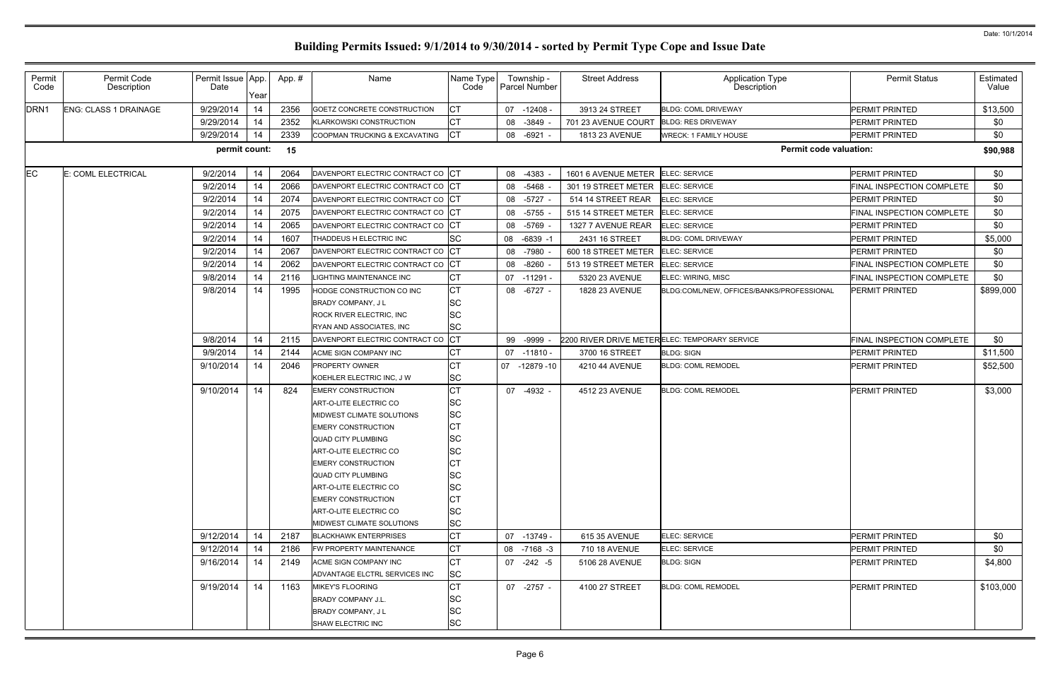| Permit<br>Code   | Permit Code<br>Description   | Permit Issue App.<br>Date | Year | App.# | Name                                                | Name Type<br>Code | Township -<br><b>Parcel Number</b> | <b>Street Address</b> | <b>Application Type</b><br>Description        | <b>Permit Status</b>      | Estimated<br>Value |
|------------------|------------------------------|---------------------------|------|-------|-----------------------------------------------------|-------------------|------------------------------------|-----------------------|-----------------------------------------------|---------------------------|--------------------|
| DRN <sub>1</sub> | <b>ENG: CLASS 1 DRAINAGE</b> | 9/29/2014                 | 14   | 2356  | GOETZ CONCRETE CONSTRUCTION                         | СT                | 07 -12408                          | 3913 24 STREET        | <b>BLDG: COML DRIVEWAY</b>                    | <b>PERMIT PRINTED</b>     | \$13,500           |
|                  |                              | 9/29/2014                 | 14   | 2352  | <b>KLARKOWSKI CONSTRUCTION</b>                      | СT                | 08<br>-3849                        | 701 23 AVENUE COURT   | <b>BLDG: RES DRIVEWAY</b>                     | <b>PERMIT PRINTED</b>     | \$0                |
|                  |                              | 9/29/2014                 | 14   | 2339  | COOPMAN TRUCKING & EXCAVATING                       | СT                | 08<br>-6921                        | 1813 23 AVENUE        | <b>WRECK: 1 FAMILY HOUSE</b>                  | <b>PERMIT PRINTED</b>     | \$0                |
|                  |                              | permit count:             |      | 15    |                                                     |                   |                                    |                       | <b>Permit code valuation:</b>                 |                           | \$90,988           |
| <b>EC</b>        | E: COML ELECTRICAL           | 9/2/2014                  | 14   | 2064  | DAVENPORT ELECTRIC CONTRACT CO                      | СT                | 08<br>-4383                        | 1601 6 AVENUE METER   | ELEC: SERVICE                                 | <b>PERMIT PRINTED</b>     | \$0                |
|                  |                              | 9/2/2014                  | 14   | 2066  | DAVENPORT ELECTRIC CONTRACT CO                      | IСТ               | 08<br>-5468                        | 301 19 STREET METER   | <b>ELEC: SERVICE</b>                          | FINAL INSPECTION COMPLETE | \$0                |
|                  |                              | 9/2/2014                  | 14   | 2074  | DAVENPORT ELECTRIC CONTRACT CO                      | IСТ               | $-5727$<br>08                      | 514 14 STREET REAR    | ELEC: SERVICE                                 | <b>PERMIT PRINTED</b>     | \$0                |
|                  |                              | 9/2/2014                  | 14   | 2075  | DAVENPORT ELECTRIC CONTRACT CO                      | IСТ               | -5755<br>08                        | 515 14 STREET METER   | ELEC: SERVICE                                 | FINAL INSPECTION COMPLETE | \$0                |
|                  |                              | 9/2/2014                  | 14   | 2065  | DAVENPORT ELECTRIC CONTRACT CO                      | CТ                | 08<br>-5769                        | 1327 7 AVENUE REAR    | <b>ELEC: SERVICE</b>                          | PERMIT PRINTED            | \$0                |
|                  |                              | 9/2/2014                  | 14   | 1607  | THADDEUS H ELECTRIC INC                             | SC                | 08 -6839 -1                        | 2431 16 STREET        | <b>BLDG: COML DRIVEWAY</b>                    | <b>PERMIT PRINTED</b>     | \$5,000            |
|                  |                              | 9/2/2014                  | 14   | 2067  | DAVENPORT ELECTRIC CONTRACT CO                      | IСT               | 08<br>-7980                        | 600 18 STREET METER   | <b>ELEC: SERVICE</b>                          | <b>PERMIT PRINTED</b>     | \$0                |
|                  |                              | 9/2/2014                  | 14   | 2062  | DAVENPORT ELECTRIC CONTRACT CO                      | <b>CT</b>         | $-8260$<br>08                      | 513 19 STREET METER   | ELEC: SERVICE                                 | FINAL INSPECTION COMPLETE | \$0                |
|                  |                              | 9/8/2014                  | 14   | 2116  | <b>IGHTING MAINTENANCE INC</b>                      | СT                | 07 -11291                          | 5320 23 AVENUE        | ELEC: WIRING, MISC                            | FINAL INSPECTION COMPLETE | \$0                |
|                  |                              | 9/8/2014                  | 14   | 1995  | HODGE CONSTRUCTION CO INC                           | <b>CT</b>         | 08<br>$-6727 -$                    | 1828 23 AVENUE        | BLDG:COML/NEW, OFFICES/BANKS/PROFESSIONAL     | <b>PERMIT PRINTED</b>     | \$899,000          |
|                  |                              |                           |      |       | <b>BRADY COMPANY, JL</b>                            | SC                |                                    |                       |                                               |                           |                    |
|                  |                              |                           |      |       | <b>ROCK RIVER ELECTRIC, INC.</b>                    | <b>SC</b>         |                                    |                       |                                               |                           |                    |
|                  |                              |                           |      |       | RYAN AND ASSOCIATES, INC                            | <b>SC</b>         |                                    |                       |                                               |                           |                    |
|                  |                              | 9/8/2014                  | 14   | 2115  | DAVENPORT ELECTRIC CONTRACT CO                      | СT                | 99<br>-9999                        |                       | 2200 RIVER DRIVE METERELEC: TEMPORARY SERVICE | FINAL INSPECTION COMPLETE | \$0                |
|                  |                              | 9/9/2014                  | 14   | 2144  | ACME SIGN COMPANY INC                               | СT                | $07 - 11810$                       | 3700 16 STREET        | <b>BLDG: SIGN</b>                             | PERMIT PRINTED            | \$11,500           |
|                  |                              | 9/10/2014                 | 14   | 2046  | <b>PROPERTY OWNER</b>                               | СT                | 07 -12879 -10                      | 4210 44 AVENUE        | <b>BLDG: COML REMODEL</b>                     | PERMIT PRINTED            | \$52,500           |
|                  |                              |                           |      |       | KOEHLER ELECTRIC INC, J W                           | <b>SC</b>         |                                    |                       |                                               |                           |                    |
|                  |                              | 9/10/2014                 | 14   | 824   | <b>EMERY CONSTRUCTION</b>                           | СT                | 07<br>-4932 -                      | 4512 23 AVENUE        | <b>BLDG: COML REMODEL</b>                     | <b>PERMIT PRINTED</b>     | \$3,000            |
|                  |                              |                           |      |       | ART-O-LITE ELECTRIC CO                              | SC                |                                    |                       |                                               |                           |                    |
|                  |                              |                           |      |       | MIDWEST CLIMATE SOLUTIONS                           | <b>SC</b>         |                                    |                       |                                               |                           |                    |
|                  |                              |                           |      |       | <b>EMERY CONSTRUCTION</b>                           | СT                |                                    |                       |                                               |                           |                    |
|                  |                              |                           |      |       | <b>QUAD CITY PLUMBING</b>                           | <b>SC</b>         |                                    |                       |                                               |                           |                    |
|                  |                              |                           |      |       | ART-O-LITE ELECTRIC CO                              | SC                |                                    |                       |                                               |                           |                    |
|                  |                              |                           |      |       | <b>EMERY CONSTRUCTION</b>                           | IСТ               |                                    |                       |                                               |                           |                    |
|                  |                              |                           |      |       | <b>QUAD CITY PLUMBING</b>                           | SC                |                                    |                       |                                               |                           |                    |
|                  |                              |                           |      |       | ART-O-LITE ELECTRIC CO<br><b>EMERY CONSTRUCTION</b> | SC<br>СT          |                                    |                       |                                               |                           |                    |
|                  |                              |                           |      |       | ART-O-LITE ELECTRIC CO                              | <b>SC</b>         |                                    |                       |                                               |                           |                    |
|                  |                              |                           |      |       | <b>IMIDWEST CLIMATE SOLUTIONS</b>                   | <b>SC</b>         |                                    |                       |                                               |                           |                    |
|                  |                              | 9/12/2014                 | 14   | 2187  | <b>BLACKHAWK ENTERPRISES</b>                        | <b>CT</b>         | 07 -13749 -                        | 615 35 AVENUE         | <b>ELEC: SERVICE</b>                          | <b>PERMIT PRINTED</b>     | \$0                |
|                  |                              | 9/12/2014                 | 14   | 2186  | FW PROPERTY MAINTENANCE                             | СT                | 08 -7168 -3                        | 710 18 AVENUE         | ELEC: SERVICE                                 | <b>PERMIT PRINTED</b>     | \$0                |
|                  |                              | 9/16/2014                 | 14   | 2149  | ACME SIGN COMPANY INC                               | <b>CT</b>         | 07 -242 -5                         | 5106 28 AVENUE        | <b>BLDG: SIGN</b>                             | <b>PERMIT PRINTED</b>     | \$4,800            |
|                  |                              |                           |      |       | ADVANTAGE ELCTRL SERVICES INC                       | <b>SC</b>         |                                    |                       |                                               |                           |                    |
|                  |                              | 9/19/2014                 | 14   | 1163  | <b>MIKEY'S FLOORING</b>                             | <b>CT</b>         | 07 -2757 -                         | 4100 27 STREET        | <b>BLDG: COML REMODEL</b>                     | <b>PERMIT PRINTED</b>     | \$103,000          |
|                  |                              |                           |      |       | <b>BRADY COMPANY J.L.</b>                           | SC                |                                    |                       |                                               |                           |                    |
|                  |                              |                           |      |       | <b>BRADY COMPANY, JL</b>                            | <b>SC</b>         |                                    |                       |                                               |                           |                    |
|                  |                              |                           |      |       | SHAW ELECTRIC INC                                   | <b>SC</b>         |                                    |                       |                                               |                           |                    |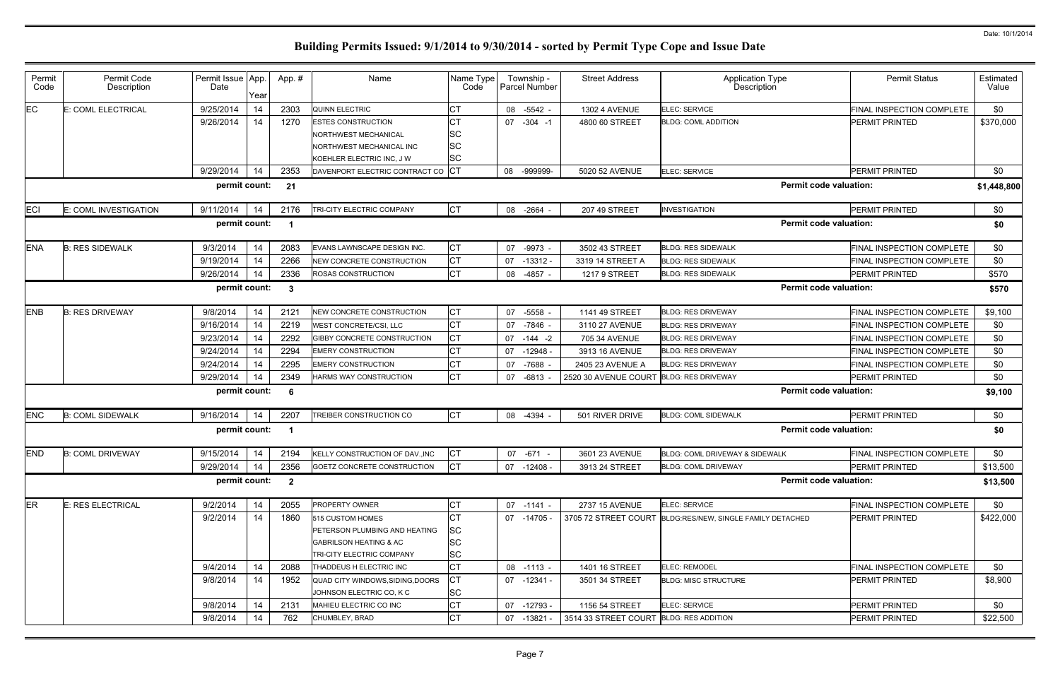| Permit<br>Code  | Permit Code<br>Description | Permit Issue App.<br>Date | Year | App.#        | Name                                                         | Name Type<br>Code | Township -<br>Parcel Number | <b>Street Address</b>                   | <b>Application Type</b><br>Description                    | <b>Permit Status</b>      | Estimated<br>Value |
|-----------------|----------------------------|---------------------------|------|--------------|--------------------------------------------------------------|-------------------|-----------------------------|-----------------------------------------|-----------------------------------------------------------|---------------------------|--------------------|
| $\overline{EC}$ | :: COML ELECTRICAL         | 9/25/2014                 | 14   | 2303         | QUINN ELECTRIC                                               | СТ                | $-5542$<br>08               | <b>1302 4 AVENUE</b>                    | ELEC: SERVICE                                             | FINAL INSPECTION COMPLETE | \$0                |
|                 |                            | 9/26/2014                 | 14   | 1270         | <b>ESTES CONSTRUCTION</b>                                    | <b>CT</b>         | 07<br>$-304 -1$             | 4800 60 STREET                          | <b>BLDG: COML ADDITION</b>                                | PERMIT PRINTED            | \$370,000          |
|                 |                            |                           |      |              | NORTHWEST MECHANICAL                                         | ΙSC               |                             |                                         |                                                           |                           |                    |
|                 |                            |                           |      |              | NORTHWEST MECHANICAL INC<br>KOEHLER ELECTRIC INC, J W        | <b>SC</b>         |                             |                                         |                                                           |                           |                    |
|                 |                            | 9/29/2014                 | 14   | 2353         | DAVENPORT ELECTRIC CONTRACT CO CT                            | <b>SC</b>         | -999999-<br>08              | 5020 52 AVENUE                          | <b>ELEC: SERVICE</b>                                      | PERMIT PRINTED            | \$0                |
|                 |                            | permit count:             |      | 21           |                                                              |                   |                             |                                         | <b>Permit code valuation:</b>                             |                           | \$1,448,800        |
|                 |                            |                           |      |              |                                                              |                   |                             |                                         |                                                           |                           |                    |
| ECI             | E: COML INVESTIGATION      | 9/11/2014                 | 14   | 2176         | TRI-CITY ELECTRIC COMPANY                                    | <b>CT</b>         | 08 -2664                    | 207 49 STREET                           | <b>INVESTIGATION</b>                                      | PERMIT PRINTED            | \$0                |
|                 |                            | permit count:             |      | - 1          |                                                              |                   |                             |                                         | <b>Permit code valuation:</b>                             |                           | \$0                |
| <b>ENA</b>      | <b>B: RES SIDEWALK</b>     | 9/3/2014                  | 14   | 2083         | EVANS LAWNSCAPE DESIGN INC.                                  | <b>CT</b>         | 07 -9973                    | 3502 43 STREET                          | <b>BLDG: RES SIDEWALK</b>                                 | FINAL INSPECTION COMPLETE | \$0                |
|                 |                            | 9/19/2014                 | 14   | 2266         | NEW CONCRETE CONSTRUCTION                                    | СT                | $07 - 13312$                | 3319 14 STREET A                        | <b>BLDG: RES SIDEWALK</b>                                 | FINAL INSPECTION COMPLETE | \$0                |
|                 |                            | 9/26/2014                 | 14   | 2336         | ROSAS CONSTRUCTION                                           | <b>CT</b>         | 08<br>-4857 -               | <b>1217 9 STREET</b>                    | <b>BLDG: RES SIDEWALK</b>                                 | <b>PERMIT PRINTED</b>     | \$570              |
|                 |                            | permit count:             |      | $\mathbf{3}$ |                                                              |                   |                             |                                         | <b>Permit code valuation:</b>                             |                           | \$570              |
| <b>ENB</b>      | <b>B: RES DRIVEWAY</b>     | 9/8/2014                  | 14   | 2121         | NEW CONCRETE CONSTRUCTION                                    | <b>CT</b>         | 07 -5558                    | 1141 49 STREET                          | <b>BLDG: RES DRIVEWAY</b>                                 | FINAL INSPECTION COMPLETE | \$9,100            |
|                 |                            | 9/16/2014                 | 14   | 2219         | <b>WEST CONCRETE/CSI, LLC</b>                                | <b>CT</b>         | $-7846$<br>07               | 3110 27 AVENUE                          | <b>BLDG: RES DRIVEWAY</b>                                 | FINAL INSPECTION COMPLETE | \$0                |
|                 |                            | 9/23/2014                 | 14   | 2292         | GIBBY CONCRETE CONSTRUCTION                                  | СT                | 07<br>-144 -2               | 705 34 AVENUE                           | <b>BLDG: RES DRIVEWAY</b>                                 | FINAL INSPECTION COMPLETE | \$0                |
|                 |                            | 9/24/2014                 | 14   | 2294         | <b>EMERY CONSTRUCTION</b>                                    |                   | 07<br>-12948 -              | 3913 16 AVENUE                          | <b>BLDG: RES DRIVEWAY</b>                                 | FINAL INSPECTION COMPLETE | \$0                |
|                 |                            | 9/24/2014                 | 14   | 2295         | <b>EMERY CONSTRUCTION</b>                                    |                   | -7688<br>07                 | 2405 23 AVENUE A                        | <b>BLDG: RES DRIVEWAY</b>                                 | FINAL INSPECTION COMPLETE | \$0                |
|                 |                            | 9/29/2014                 | 14   | 2349         | HARMS WAY CONSTRUCTION                                       | <b>CT</b>         | $-6813$<br>07               | 2520 30 AVENUE COURT BLDG: RES DRIVEWAY |                                                           | <b>PERMIT PRINTED</b>     | \$0                |
|                 |                            | permit count:             |      | -6           |                                                              |                   |                             |                                         | <b>Permit code valuation:</b>                             |                           | \$9,100            |
| <b>ENC</b>      | <b>B: COML SIDEWALK</b>    | 9/16/2014                 | 14   | 2207         | TREIBER CONSTRUCTION CO                                      | <b>CT</b>         | 08 -4394 -                  | 501 RIVER DRIVE                         | <b>BLDG: COML SIDEWALK</b>                                | PERMIT PRINTED            | \$0                |
|                 |                            | permit count:             |      | - 1          |                                                              |                   |                             |                                         | <b>Permit code valuation:</b>                             |                           | \$0                |
| END             | <b>B: COML DRIVEWAY</b>    | 9/15/2014 14              |      | 2194         | KELLY CONSTRUCTION OF DAV., INC                              | <b>CT</b>         | 07 -671                     | 3601 23 AVENUE                          | BLDG: COML DRIVEWAY & SIDEWALK                            | FINAL INSPECTION COMPLETE | \$0                |
|                 |                            | 9/29/2014                 | 14   | 2356         | GOETZ CONCRETE CONSTRUCTION                                  | <b>CT</b>         | 07 -12408 -                 | 3913 24 STREET                          | <b>BLDG: COML DRIVEWAY</b>                                | PERMIT PRINTED            | \$13,500           |
|                 |                            | permit count: 2           |      |              |                                                              |                   |                             |                                         | <b>Permit code valuation:</b>                             |                           | \$13,500           |
| <b>ER</b>       | E: RES ELECTRICAL          | 9/2/2014                  | 14   | 2055         | <b>PROPERTY OWNER</b>                                        | СT                | 07 -1141 -                  | 2737 15 AVENUE                          | ELEC: SERVICE                                             | FINAL INSPECTION COMPLETE | \$0                |
|                 |                            | 9/2/2014                  | 14   | 1860         | 515 CUSTOM HOMES                                             | СT                | 07 -14705 -                 |                                         | 3705 72 STREET COURT BLDG:RES/NEW, SINGLE FAMILY DETACHED | PERMIT PRINTED            | \$422,000          |
|                 |                            |                           |      |              | PETERSON PLUMBING AND HEATING                                | lSС               |                             |                                         |                                                           |                           |                    |
|                 |                            |                           |      |              | <b>GABRILSON HEATING &amp; AC</b>                            | SC                |                             |                                         |                                                           |                           |                    |
|                 |                            |                           |      |              | TRI-CITY ELECTRIC COMPANY                                    | <b>SC</b>         |                             |                                         |                                                           |                           |                    |
|                 |                            | 9/4/2014                  | 14   | 2088         | THADDEUS H ELECTRIC INC                                      | СT                | 08 -1113 -                  | 1401 16 STREET                          | <b>ELEC: REMODEL</b>                                      | FINAL INSPECTION COMPLETE | \$0                |
|                 |                            | 9/8/2014                  | 14   | 1952         | QUAD CITY WINDOWS, SIDING, DOORS<br>JOHNSON ELECTRIC CO, K C | <b>SC</b>         | 07 -12341 -                 | 3501 34 STREET                          | <b>BLDG: MISC STRUCTURE</b>                               | <b>PERMIT PRINTED</b>     | \$8,900            |
|                 |                            | 9/8/2014                  | 14   | 2131         | MAHIEU ELECTRIC CO INC                                       | СT                | 07 -12793 -                 | 1156 54 STREET                          | ELEC: SERVICE                                             | PERMIT PRINTED            | \$0                |
|                 |                            | 9/8/2014                  | 14   | 762          | CHUMBLEY, BRAD                                               | <b>CT</b>         | 07 -13821                   | 3514 33 STREET COURT BLDG: RES ADDITION |                                                           | PERMIT PRINTED            | \$22,500           |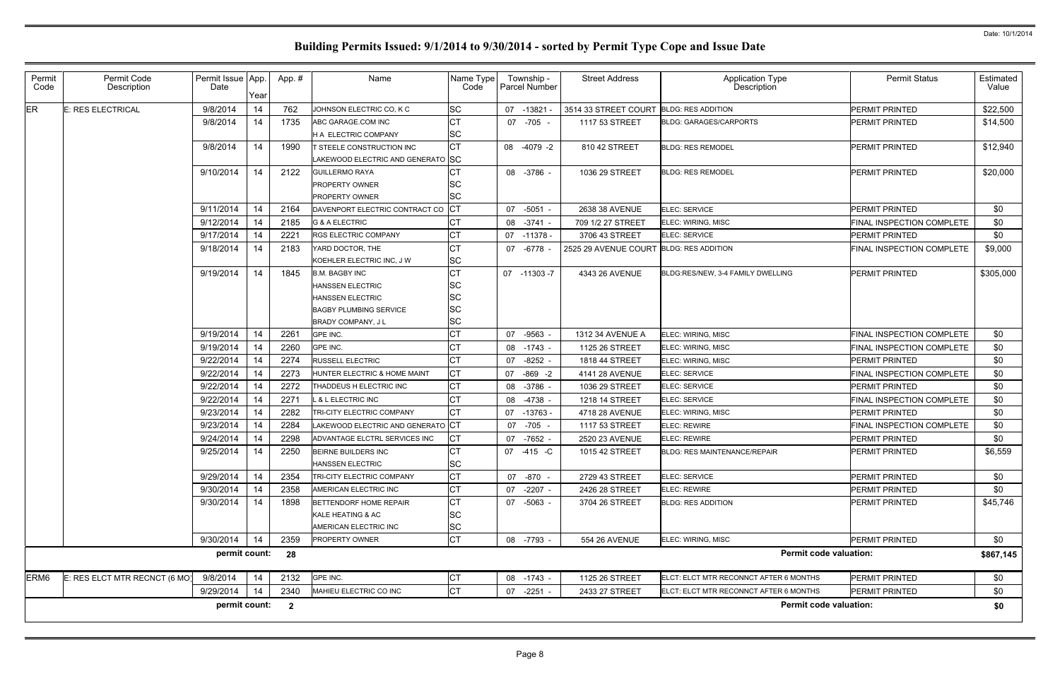| Permit<br>Code   | Permit Code<br>Description    | Permit Issue App.<br>Date | Year | App. #                  | Name                              | Name Type<br>Code | Township -<br><b>Parcel Number</b> | <b>Street Address</b>                   | <b>Application Type</b><br>Description | <b>Permit Status</b>      | Estimated<br>Value |
|------------------|-------------------------------|---------------------------|------|-------------------------|-----------------------------------|-------------------|------------------------------------|-----------------------------------------|----------------------------------------|---------------------------|--------------------|
| ER               | E: RES ELECTRICAL             | 9/8/2014                  | 14   | 762                     | JOHNSON ELECTRIC CO, K C          | SC                | 07 -13821                          | 3514 33 STREET COURT BLDG: RES ADDITION |                                        | PERMIT PRINTED            | \$22,500           |
|                  |                               | 9/8/2014                  | 14   | 1735                    | ABC GARAGE.COM INC                | СT                | 07 -705 -                          | 1117 53 STREET                          | <b>BLDG: GARAGES/CARPORTS</b>          | PERMIT PRINTED            | \$14,500           |
|                  |                               |                           |      |                         | <b>H A ELECTRIC COMPANY</b>       | SC                |                                    |                                         |                                        |                           |                    |
|                  |                               | 9/8/2014                  | 14   | 1990                    | T STEELE CONSTRUCTION INC         | <b>CT</b>         | 08 -4079 -2                        | 810 42 STREET                           | <b>BLDG: RES REMODEL</b>               | PERMIT PRINTED            | \$12,940           |
|                  |                               |                           |      |                         | LAKEWOOD ELECTRIC AND GENERATO SC |                   |                                    |                                         |                                        |                           |                    |
|                  |                               | 9/10/2014                 | 14   | 2122                    | <b>GUILLERMO RAYA</b>             |                   | 08 -3786 -                         | 1036 29 STREET                          | <b>BLDG: RES REMODEL</b>               | PERMIT PRINTED            | \$20,000           |
|                  |                               |                           |      |                         | <b>PROPERTY OWNER</b>             | SC                |                                    |                                         |                                        |                           |                    |
|                  |                               |                           |      |                         | <b>PROPERTY OWNER</b>             | SC                |                                    |                                         |                                        |                           |                    |
|                  |                               | 9/11/2014                 | 14   | 2164                    | DAVENPORT ELECTRIC CONTRACT CO    | <b>CT</b>         | 07 -5051 -                         | 2638 38 AVENUE                          | ELEC: SERVICE                          | PERMIT PRINTED            | \$0                |
|                  |                               | 9/12/2014                 | 14   | 2185                    | <b>G &amp; A ELECTRIC</b>         | СT                | 08<br>-3741                        | 709 1/2 27 STREET                       | ELEC: WIRING, MISC                     | FINAL INSPECTION COMPLETE | \$0                |
|                  |                               | 9/17/2014                 | 14   | 2221                    | <b>RGS ELECTRIC COMPANY</b>       | СT                | 07 -11378 -                        | 3706 43 STREET                          | ELEC: SERVICE                          | PERMIT PRINTED            | \$0                |
|                  |                               | 9/18/2014                 | 14   | 2183                    | YARD DOCTOR, THE                  | СT                | -6778<br>07                        | 2525 29 AVENUE COURT BLDG: RES ADDITION |                                        | FINAL INSPECTION COMPLETE | \$9,000            |
|                  |                               |                           |      |                         | KOEHLER ELECTRIC INC, J W         | SC                |                                    |                                         |                                        |                           |                    |
|                  |                               | 9/19/2014                 | 14   | 1845                    | <b>B.M. BAGBY INC</b>             | СT                | 07 -11303 -7                       | 4343 26 AVENUE                          | BLDG:RES/NEW, 3-4 FAMILY DWELLING      | PERMIT PRINTED            | \$305,000          |
|                  |                               |                           |      |                         | <b>HANSSEN ELECTRIC</b>           | SC                |                                    |                                         |                                        |                           |                    |
|                  |                               |                           |      |                         | <b>HANSSEN ELECTRIC</b>           | SC                |                                    |                                         |                                        |                           |                    |
|                  |                               |                           |      |                         | <b>BAGBY PLUMBING SERVICE</b>     | SC                |                                    |                                         |                                        |                           |                    |
|                  |                               |                           |      |                         | <b>BRADY COMPANY, JL</b>          | SC                |                                    |                                         |                                        |                           |                    |
|                  |                               | 9/19/2014                 | 14   | 2261                    | GPE INC.                          | СT                | 07<br>-9563                        | 1312 34 AVENUE A                        | ELEC: WIRING, MISC                     | FINAL INSPECTION COMPLETE | \$0                |
|                  |                               | 9/19/2014                 | 14   | 2260                    | GPE INC.                          | СT                | 08<br>-1743 -                      | 1125 26 STREET                          | ELEC: WIRING, MISC                     | FINAL INSPECTION COMPLETE | \$0                |
|                  |                               | 9/22/2014                 | 14   | 2274                    | <b>RUSSELL ELECTRIC</b>           | СT                | 07<br>$-8252 -$                    | 1818 44 STREET                          | ELEC: WIRING, MISC                     | PERMIT PRINTED            | \$0                |
|                  |                               | 9/22/2014                 | 14   | 2273                    | HUNTER ELECTRIC & HOME MAINT      | СT                | $-869 - 2$<br>07                   | 4141 28 AVENUE                          | ELEC: SERVICE                          | FINAL INSPECTION COMPLETE | \$0                |
|                  |                               | 9/22/2014                 | 14   | 2272                    | THADDEUS H ELECTRIC INC           | СT                | 08<br>-3786 -                      | 1036 29 STREET                          | ELEC: SERVICE                          | PERMIT PRINTED            | \$0                |
|                  |                               | 9/22/2014                 | 14   | 2271                    | L & L ELECTRIC INC                | СT                | 08<br>-4738 -                      | 1218 14 STREET                          | ELEC: SERVICE                          | FINAL INSPECTION COMPLETE | \$0                |
|                  |                               | 9/23/2014                 | 14   | 2282                    | TRI-CITY ELECTRIC COMPANY         | СT                | 07 -13763                          | 4718 28 AVENUE                          | ELEC: WIRING, MISC                     | PERMIT PRINTED            | \$0                |
|                  |                               | 9/23/2014                 | 14   | 2284                    | LAKEWOOD ELECTRIC AND GENERATO CT |                   | -705 -<br>07                       | 1117 53 STREET                          | <b>ELEC: REWIRE</b>                    | FINAL INSPECTION COMPLETE | \$0                |
|                  |                               | 9/24/2014                 | 14   | 2298                    | ADVANTAGE ELCTRL SERVICES INC     | СT                | -7652 -<br>07                      | 2520 23 AVENUE                          | ELEC: REWIRE                           | PERMIT PRINTED            | \$0                |
|                  |                               | 9/25/2014                 | 14   | 2250                    | BEIRNE BUILDERS INC               | СT                | 07 -415 -C                         | 1015 42 STREET                          | <b>BLDG: RES MAINTENANCE/REPAIR</b>    | <b>PERMIT PRINTED</b>     | \$6,559            |
|                  |                               |                           |      |                         | <b>HANSSEN ELECTRIC</b>           | <b>SC</b>         |                                    |                                         |                                        |                           |                    |
|                  |                               | 9/29/2014                 | 14   | 2354                    | TRI-CITY ELECTRIC COMPANY         | СT                | 07 -870 -                          | 2729 43 STREET                          | ELEC: SERVICE                          | PERMIT PRINTED            | \$0                |
|                  |                               | 9/30/2014                 | 14   | 2358                    | AMERICAN ELECTRIC INC             | СT                | 07<br>$-2207 -$                    | 2426 28 STREET                          | ELEC: REWIRE                           | PERMIT PRINTED            | \$0                |
|                  |                               | 9/30/2014                 | 14   | 1898                    | BETTENDORF HOME REPAIR            | СT                | 07 -5063 -                         | 3704 26 STREET                          | <b>BLDG: RES ADDITION</b>              | PERMIT PRINTED            | \$45,746           |
|                  |                               |                           |      |                         | KALE HEATING & AC                 | SC                |                                    |                                         |                                        |                           |                    |
|                  |                               |                           |      |                         | AMERICAN ELECTRIC INC             | SC                |                                    |                                         |                                        |                           |                    |
|                  |                               | 9/30/2014                 | 14   | 2359                    | <b>PROPERTY OWNER</b>             | <b>CT</b>         | 08 -7793 -                         | 554 26 AVENUE                           | ELEC: WIRING, MISC                     | PERMIT PRINTED            | \$0                |
|                  |                               | permit count:             |      | 28                      |                                   |                   |                                    |                                         | <b>Permit code valuation:</b>          |                           | \$867,145          |
| ERM <sub>6</sub> | E: RES ELCT MTR RECNCT (6 MO) | 9/8/2014                  | 14   | 2132                    | GPE INC.                          | СT                | 08 -1743 -                         | 1125 26 STREET                          | ELCT: ELCT MTR RECONNCT AFTER 6 MONTHS | PERMIT PRINTED            | \$0                |
|                  |                               | 9/29/2014                 | 14   | 2340                    | MAHIEU ELECTRIC CO INC            | <b>CT</b>         | 07<br>$-2251 -$                    | 2433 27 STREET                          | ELCT: ELCT MTR RECONNCT AFTER 6 MONTHS | PERMIT PRINTED            | \$0                |
|                  |                               | permit count:             |      | $\overline{\mathbf{2}}$ |                                   |                   |                                    |                                         | <b>Permit code valuation:</b>          |                           | \$0                |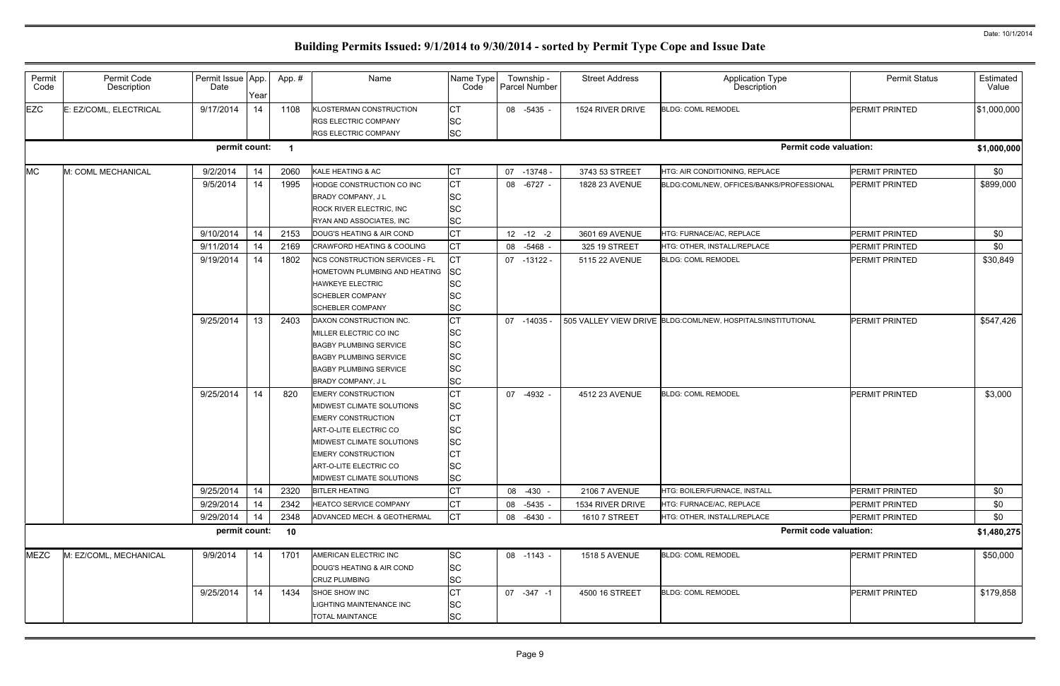| Permit<br>Code | Permit Code<br>Description | Permit Issue App.<br>Date | Year | App.# | Name                                                                                                                                                                                                                           | Name Type<br>Code                                                        | Township -<br>Parcel Number | <b>Street Address</b> | <b>Application Type</b><br>Description                       | <b>Permit Status</b>  | Estimated<br>Value |
|----------------|----------------------------|---------------------------|------|-------|--------------------------------------------------------------------------------------------------------------------------------------------------------------------------------------------------------------------------------|--------------------------------------------------------------------------|-----------------------------|-----------------------|--------------------------------------------------------------|-----------------------|--------------------|
| <b>EZC</b>     | E: EZ/COML, ELECTRICAL     | 9/17/2014                 | 14   | 1108  | KLOSTERMAN CONSTRUCTION<br><b>RGS ELECTRIC COMPANY</b><br><b>RGS ELECTRIC COMPANY</b>                                                                                                                                          | СT<br><b>SC</b><br><b>SC</b>                                             | 08 -5435 -                  | 1524 RIVER DRIVE      | <b>BLDG: COML REMODEL</b>                                    | <b>PERMIT PRINTED</b> | \$1,000,000        |
|                |                            | permit count:             |      |       |                                                                                                                                                                                                                                |                                                                          |                             |                       | <b>Permit code valuation:</b>                                |                       | \$1,000,000        |
| <b>MC</b>      | M: COML MECHANICAL         | 9/2/2014                  | 14   | 2060  | KALE HEATING & AC                                                                                                                                                                                                              | СT                                                                       | 07 -13748 -                 | 3743 53 STREET        | HTG: AIR CONDITIONING, REPLACE                               | PERMIT PRINTED        | \$0                |
|                |                            | 9/5/2014                  | 14   | 1995  | HODGE CONSTRUCTION CO INC<br>BRADY COMPANY, J L<br><b>ROCK RIVER ELECTRIC, INC</b><br>RYAN AND ASSOCIATES, INC                                                                                                                 | СT<br><b>SC</b><br><b>SC</b><br><b>SC</b>                                | 08 -6727 -                  | 1828 23 AVENUE        | BLDG:COML/NEW, OFFICES/BANKS/PROFESSIONAL                    | <b>PERMIT PRINTED</b> | \$899,000          |
|                |                            | 9/10/2014                 | 14   | 2153  | DOUG'S HEATING & AIR COND                                                                                                                                                                                                      | СT                                                                       | $12 - 12 - 2$               | 3601 69 AVENUE        | HTG: FURNACE/AC, REPLACE                                     | <b>PERMIT PRINTED</b> | \$0                |
|                |                            | 9/11/2014                 | 14   | 2169  | <b>CRAWFORD HEATING &amp; COOLING</b>                                                                                                                                                                                          | СT                                                                       | 08 -5468 -                  | 325 19 STREET         | HTG: OTHER. INSTALL/REPLACE                                  | <b>PERMIT PRINTED</b> | \$0                |
|                |                            | 9/19/2014                 | 14   | 1802  | <b>NCS CONSTRUCTION SERVICES - FL</b><br>HOMETOWN PLUMBING AND HEATING<br><b>HAWKEYE ELECTRIC</b><br><b>SCHEBLER COMPANY</b><br><b>SCHEBLER COMPANY</b>                                                                        | СT<br><b>SC</b><br><b>SC</b><br><b>SC</b><br><b>SC</b>                   | 07 -13122 -                 | 5115 22 AVENUE        | <b>BLDG: COML REMODEL</b>                                    | <b>PERMIT PRINTED</b> | \$30,849           |
|                |                            | 9/25/2014                 | 13   | 2403  | DAXON CONSTRUCTION INC.<br>MILLER ELECTRIC CO INC<br><b>BAGBY PLUMBING SERVICE</b><br><b>BAGBY PLUMBING SERVICE</b><br><b>BAGBY PLUMBING SERVICE</b><br>BRADY COMPANY, J L                                                     | СT<br><b>SC</b><br><b>SC</b><br><b>SC</b><br><b>SC</b><br><b>SC</b>      | 07 -14035                   |                       | 505 VALLEY VIEW DRIVE BLDG:COML/NEW, HOSPITALS/INSTITUTIONAL | <b>PERMIT PRINTED</b> | \$547,426          |
|                |                            | 9/25/2014                 | 14   | 820   | <b>EMERY CONSTRUCTION</b><br>MIDWEST CLIMATE SOLUTIONS<br><b>EMERY CONSTRUCTION</b><br>ART-O-LITE ELECTRIC CO<br>MIDWEST CLIMATE SOLUTIONS<br><b>EMERY CONSTRUCTION</b><br>ART-O-LITE ELECTRIC CO<br>MIDWEST CLIMATE SOLUTIONS | СT<br>SC<br>СT<br><b>SC</b><br><b>SC</b><br>СT<br><b>SC</b><br><b>SC</b> | 07 -4932 -                  | 4512 23 AVENUE        | <b>BLDG: COML REMODEL</b>                                    | <b>PERMIT PRINTED</b> | \$3,000            |
|                |                            | 9/25/2014                 | 14   | 2320  | <b>BITLER HEATING</b>                                                                                                                                                                                                          | СT                                                                       | 08 -430 -                   | <b>2106 7 AVENUE</b>  | HTG: BOILER/FURNACE, INSTALL                                 | <b>PERMIT PRINTED</b> | \$0                |
|                |                            | 9/29/2014                 | 14   | 2342  | <b>HEATCO SERVICE COMPANY</b>                                                                                                                                                                                                  | СT                                                                       | 08<br>$-5435 -$             | 1534 RIVER DRIVE      | HTG: FURNACE/AC, REPLACE                                     | <b>PERMIT PRINTED</b> | \$0                |
|                |                            | 9/29/2014                 | 14   | 2348  | ADVANCED MECH. & GEOTHERMAL                                                                                                                                                                                                    | <b>CT</b>                                                                | 08 -6430 -                  | 1610 7 STREET         | HTG: OTHER, INSTALL/REPLACE                                  | PERMIT PRINTED        | \$0                |
|                |                            | permit count:             |      | 10    |                                                                                                                                                                                                                                |                                                                          |                             |                       | <b>Permit code valuation:</b>                                |                       | \$1,480,275        |
| <b>MEZC</b>    | M: EZ/COML, MECHANICAL     | 9/9/2014                  | 14   | 1701  | AMERICAN ELECTRIC INC<br>DOUG'S HEATING & AIR COND<br><b>CRUZ PLUMBING</b>                                                                                                                                                     | SC<br><b>SC</b><br><b>SC</b>                                             | 08 -1143 -                  | <b>1518 5 AVENUE</b>  | <b>BLDG: COML REMODEL</b>                                    | PERMIT PRINTED        | \$50,000           |
|                |                            | 9/25/2014                 | 14   | 1434  | SHOE SHOW INC<br>LIGHTING MAINTENANCE INC<br><b>TOTAL MAINTANCE</b>                                                                                                                                                            | СT<br><b>SC</b><br><b>SC</b>                                             | 07 -347 -1                  | 4500 16 STREET        | <b>BLDG: COML REMODEL</b>                                    | <b>PERMIT PRINTED</b> | \$179,858          |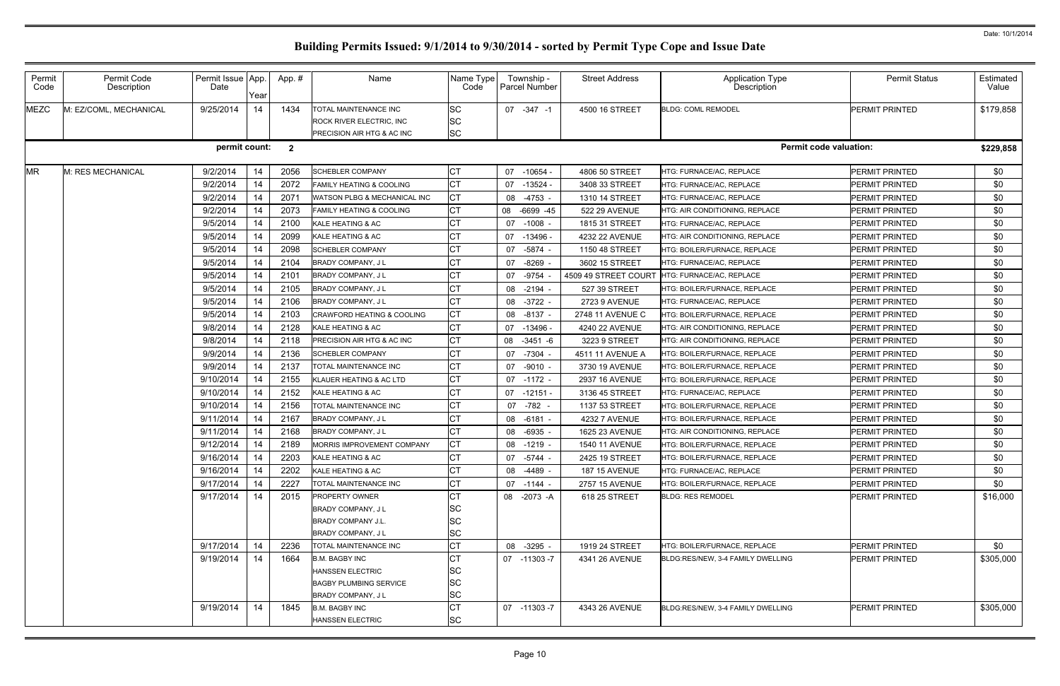| Permit<br>Code | Permit Code<br>Description | Permit Issue App.<br>Date | Year | App. #                  | Name                                                                                    | Name Type<br>Code                   | Township -<br><b>Parcel Number</b> | <b>Street Address</b> | <b>Application Type</b><br>Description | <b>Permit Status</b>          | Estimated<br>Value |
|----------------|----------------------------|---------------------------|------|-------------------------|-----------------------------------------------------------------------------------------|-------------------------------------|------------------------------------|-----------------------|----------------------------------------|-------------------------------|--------------------|
| <b>MEZC</b>    | M: EZ/COML, MECHANICAL     | 9/25/2014                 | 14   | 1434                    | TOTAL MAINTENANCE INC<br><b>ROCK RIVER ELECTRIC, INC.</b><br>PRECISION AIR HTG & AC INC | <b>SC</b><br><b>SC</b><br><b>SC</b> | 07 -347 -1                         | 4500 16 STREET        | <b>BLDG: COML REMODEL</b>              | <b>PERMIT PRINTED</b>         | \$179,858          |
|                |                            | permit count:             |      | $\overline{\mathbf{2}}$ |                                                                                         |                                     |                                    |                       |                                        | <b>Permit code valuation:</b> | \$229,858          |
| <b>MR</b>      | M: RES MECHANICAL          | 9/2/2014                  | 14   | 2056                    | <b>SCHEBLER COMPANY</b>                                                                 | СT                                  | 07 -10654                          | 4806 50 STREET        | <b>HTG: FURNACE/AC. REPLACE</b>        | PERMIT PRINTED                | \$0                |
|                |                            | 9/2/2014                  | 14   | 2072                    | <b>FAMILY HEATING &amp; COOLING</b>                                                     | <b>CT</b>                           | $07 - 13524$                       | 3408 33 STREET        | HTG: FURNACE/AC, REPLACE               | PERMIT PRINTED                | \$0                |
|                |                            | 9/2/2014                  | 14   | 2071                    | WATSON PLBG & MECHANICAL INC                                                            | СT                                  | -4753 -<br>08                      | 1310 14 STREET        | <b>HTG: FURNACE/AC, REPLACE</b>        | PERMIT PRINTED                | \$0                |
|                |                            | 9/2/2014                  | 14   | 2073                    | FAMILY HEATING & COOLING                                                                | СT                                  | 08 -6699 -45                       | 522 29 AVENUE         | HTG: AIR CONDITIONING, REPLACE         | PERMIT PRINTED                | \$0                |
|                |                            | 9/5/2014                  | 14   | 2100                    | KALE HEATING & AC                                                                       | СT                                  | 07 -1008                           | 1815 31 STREET        | <b>HTG: FURNACE/AC, REPLACE</b>        | PERMIT PRINTED                | \$0                |
|                |                            | 9/5/2014                  | 14   | 2099                    | KALE HEATING & AC                                                                       | <b>CT</b>                           | 07 -13496                          | 4232 22 AVENUE        | HTG: AIR CONDITIONING, REPLACE         | <b>PERMIT PRINTED</b>         | \$0                |
|                |                            | 9/5/2014                  | 14   | 2098                    | <b>SCHEBLER COMPANY</b>                                                                 | СT                                  | -5874<br>07                        | 1150 48 STREET        | HTG: BOILER/FURNACE, REPLACE           | PERMIT PRINTED                | \$0                |
|                |                            | 9/5/2014                  | 14   | 2104                    | <b>BRADY COMPANY, JL</b>                                                                | <b>CT</b>                           | 07 -8269                           | 3602 15 STREET        | HTG: FURNACE/AC, REPLACE               | <b>PERMIT PRINTED</b>         | \$0                |
|                |                            | 9/5/2014                  | 14   | 2101                    | BRADY COMPANY, J L                                                                      | <b>CT</b>                           | 07 -9754                           | 4509 49 STREET COURT  | HTG: FURNACE/AC, REPLACE               | <b>PERMIT PRINTED</b>         | \$0                |
|                |                            | 9/5/2014                  | 14   | 2105                    | <b>BRADY COMPANY, JL</b>                                                                | СT                                  | 08 -2194                           | 527 39 STREET         | HTG: BOILER/FURNACE, REPLACE           | <b>PERMIT PRINTED</b>         | \$0                |
|                |                            | 9/5/2014                  | 14   | 2106                    | <b>BRADY COMPANY, JL</b>                                                                | <b>CT</b>                           | 08 -3722                           | 2723 9 AVENUE         | <b>HTG: FURNACE/AC, REPLACE</b>        | <b>PERMIT PRINTED</b>         | \$0                |
|                |                            | 9/5/2014                  | 14   | 2103                    | <b>CRAWFORD HEATING &amp; COOLING</b>                                                   | <b>CT</b>                           | 08 -8137                           | 2748 11 AVENUE C      | <b>HTG: BOILER/FURNACE. REPLACE</b>    | <b>PERMIT PRINTED</b>         | \$0                |
|                |                            | 9/8/2014                  | 14   | 2128                    | KALE HEATING & AC                                                                       | СT                                  | 07 -13496 -                        | 4240 22 AVENUE        | HTG: AIR CONDITIONING, REPLACE         | <b>PERMIT PRINTED</b>         | \$0                |
|                |                            | 9/8/2014                  | 14   | 2118                    | PRECISION AIR HTG & AC INC                                                              | <b>CT</b>                           | 08 -3451 -6                        | 3223 9 STREET         | HTG: AIR CONDITIONING, REPLACE         | <b>PERMIT PRINTED</b>         | \$0                |
|                |                            | 9/9/2014                  | 14   | 2136                    | <b>SCHEBLER COMPANY</b>                                                                 | <b>CT</b>                           | 07 -7304                           | 4511 11 AVENUE A      | HTG: BOILER/FURNACE, REPLACE           | <b>PERMIT PRINTED</b>         | \$0                |
|                |                            | 9/9/2014                  | 14   | 2137                    | TOTAL MAINTENANCE INC                                                                   | <b>CT</b>                           | 07 -9010                           | 3730 19 AVENUE        | HTG: BOILER/FURNACE, REPLACE           | <b>PERMIT PRINTED</b>         | \$0                |
|                |                            | 9/10/2014                 | 14   | 2155                    | KLAUER HEATING & AC LTD                                                                 | СT                                  | 07 -1172 -                         | 2937 16 AVENUE        | HTG: BOILER/FURNACE, REPLACE           | <b>PERMIT PRINTED</b>         | \$0                |
|                |                            | 9/10/2014                 | 14   | 2152                    | KALE HEATING & AC                                                                       | <b>CT</b>                           | $07 - 12151$                       | 3136 45 STREET        | HTG: FURNACE/AC, REPLACE               | <b>PERMIT PRINTED</b>         | \$0                |
|                |                            | 9/10/2014                 | 14   | 2156                    | TOTAL MAINTENANCE INC                                                                   | СT                                  | 07 -782 -                          | 1137 53 STREET        | HTG: BOILER/FURNACE, REPLACE           | <b>PERMIT PRINTED</b>         | \$0                |
|                |                            | 9/11/2014                 | 14   | 2167                    | BRADY COMPANY, J L                                                                      | <b>CT</b>                           | 08 -6181                           | <b>4232 7 AVENUE</b>  | HTG: BOILER/FURNACE, REPLACE           | <b>PERMIT PRINTED</b>         | \$0                |
|                |                            | 9/11/2014                 | 14   | 2168                    | <b>BRADY COMPANY, JL</b>                                                                | СT                                  | 08 -6935                           | 1625 23 AVENUE        | HTG: AIR CONDITIONING, REPLACE         | PERMIT PRINTED                | \$0                |
|                |                            | 9/12/2014                 | 14   | 2189                    | MORRIS IMPROVEMENT COMPANY                                                              | <b>CT</b>                           | 08 -1219 -                         | 1540 11 AVENUE        | HTG: BOILER/FURNACE, REPLACE           | PERMIT PRINTED                | \$0                |
|                |                            | 9/16/2014                 | 14   | 2203                    | KALE HEATING & AC                                                                       | $\sim$ $\sim$<br>ו טו               | 07 -5744 -                         | 2425 19 STREET        | HTG: BOILER/FURNACE, REPLACE           | PERMIT PRINTED                | \$0                |
|                |                            | 9/16/2014                 | 14   | 2202                    | KALE HEATING & AC                                                                       | <b>CT</b>                           | 08 -4489 -                         | <b>187 15 AVENUE</b>  | HTG: FURNACE/AC, REPLACE               | PERMIT PRINTED                | \$0                |
|                |                            | 9/17/2014                 | 14   | 2227                    | <b>TOTAL MAINTENANCE INC</b>                                                            | <b>CT</b>                           | 07 -1144 -                         | 2757 15 AVENUE        | HTG: BOILER/FURNACE, REPLACE           | <b>PERMIT PRINTED</b>         | \$0                |
|                |                            | 9/17/2014                 | 14   | 2015                    | <b>PROPERTY OWNER</b>                                                                   | СT                                  | 08 -2073 -A                        | 618 25 STREET         | <b>BLDG: RES REMODEL</b>               | PERMIT PRINTED                | \$16,000           |
|                |                            |                           |      |                         | BRADY COMPANY, J L                                                                      | <b>SC</b>                           |                                    |                       |                                        |                               |                    |
|                |                            |                           |      |                         | <b>BRADY COMPANY J.L.</b>                                                               | <b>SC</b>                           |                                    |                       |                                        |                               |                    |
|                |                            |                           |      |                         | <b>BRADY COMPANY, JL</b>                                                                | <b>SC</b>                           |                                    |                       |                                        |                               |                    |
|                |                            | 9/17/2014                 | 14   | 2236                    | <b>TOTAL MAINTENANCE INC</b>                                                            | <b>CT</b>                           | 08 -3295 -                         | 1919 24 STREET        | HTG: BOILER/FURNACE, REPLACE           | PERMIT PRINTED                | \$0                |
|                |                            | 9/19/2014                 | 14   | 1664                    | <b>B.M. BAGBY INC</b>                                                                   | СT                                  | 07 -11303 -7                       | 4341 26 AVENUE        | BLDG:RES/NEW, 3-4 FAMILY DWELLING      | PERMIT PRINTED                | \$305,000          |
|                |                            |                           |      |                         | <b>HANSSEN ELECTRIC</b>                                                                 | <b>SC</b>                           |                                    |                       |                                        |                               |                    |
|                |                            |                           |      |                         | <b>BAGBY PLUMBING SERVICE</b>                                                           | <b>SC</b>                           |                                    |                       |                                        |                               |                    |
|                |                            |                           |      |                         | <b>BRADY COMPANY, JL</b>                                                                | <b>SC</b>                           |                                    |                       |                                        |                               |                    |
|                |                            | 9/19/2014                 | 14   | 1845                    | <b>B.M. BAGBY INC</b>                                                                   | <b>CT</b>                           | 07 -11303 -7                       | 4343 26 AVENUE        | BLDG:RES/NEW, 3-4 FAMILY DWELLING      | PERMIT PRINTED                | \$305,000          |
|                |                            |                           |      |                         | <b>HANSSEN ELECTRIC</b>                                                                 | <b>SC</b>                           |                                    |                       |                                        |                               |                    |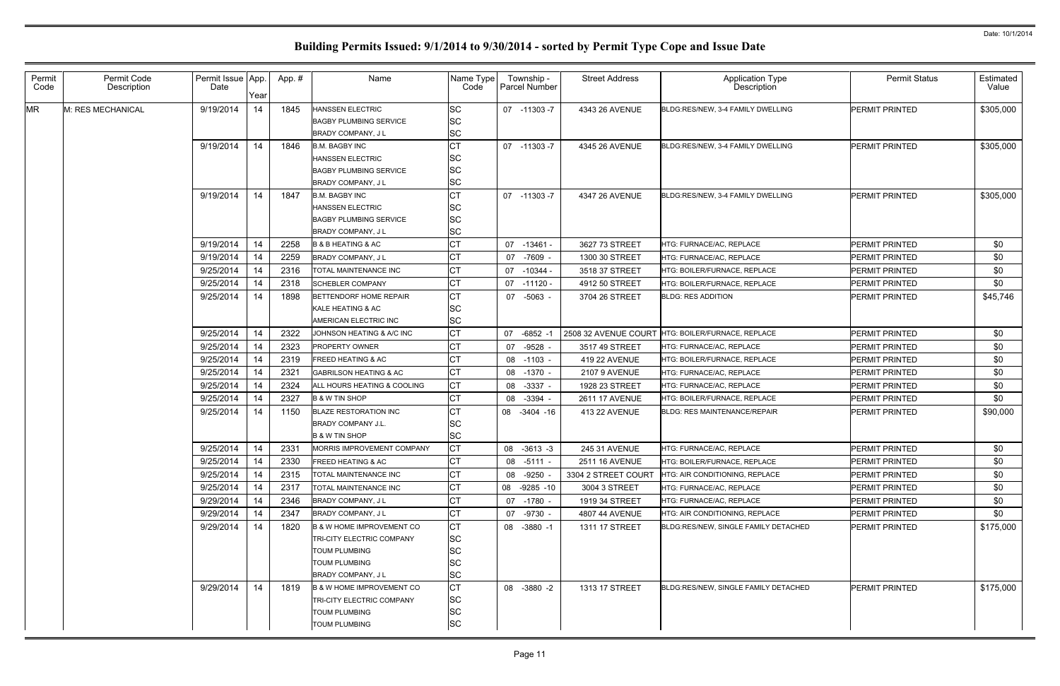| Permit<br>Code | Permit Code<br>Description | Permit Issue App.<br>Date | Year | App.# | Name                                                                                                                      | Name Type<br>Code                                     | Township -<br>Parcel Number | <b>Street Address</b> | <b>Application Type</b><br>Description            | <b>Permit Status</b>  | Estimated<br>Value |
|----------------|----------------------------|---------------------------|------|-------|---------------------------------------------------------------------------------------------------------------------------|-------------------------------------------------------|-----------------------------|-----------------------|---------------------------------------------------|-----------------------|--------------------|
| <b>MR</b>      | M: RES MECHANICAL          | 9/19/2014                 | 14   | 1845  | <b>HANSSEN ELECTRIC</b><br><b>BAGBY PLUMBING SERVICE</b><br>BRADY COMPANY, J L                                            | <b>SC</b><br>SC<br><b>SC</b>                          | 07 -11303 -7                | 4343 26 AVENUE        | BLDG:RES/NEW, 3-4 FAMILY DWELLING                 | PERMIT PRINTED        | \$305,000          |
|                |                            | 9/19/2014                 | 14   | 1846  | <b>B.M. BAGBY INC</b><br><b>HANSSEN ELECTRIC</b><br><b>BAGBY PLUMBING SERVICE</b><br><b>BRADY COMPANY, JL</b>             | <b>CT</b><br>SC<br>SC<br>SC                           | 07 -11303 -7                | 4345 26 AVENUE        | BLDG:RES/NEW, 3-4 FAMILY DWELLING                 | PERMIT PRINTED        | \$305,000          |
|                |                            | 9/19/2014                 | 14   | 1847  | <b>B.M. BAGBY INC</b><br><b>HANSSEN ELECTRIC</b><br><b>BAGBY PLUMBING SERVICE</b><br><b>BRADY COMPANY, JL</b>             | <b>CT</b><br>SC<br><b>SC</b><br>SC                    | 07 -11303 -7                | 4347 26 AVENUE        | BLDG:RES/NEW, 3-4 FAMILY DWELLING                 | <b>PERMIT PRINTED</b> | \$305,000          |
|                |                            | 9/19/2014                 | 14   | 2258  | <b>B &amp; B HEATING &amp; AC</b>                                                                                         | СT                                                    | 07 -13461                   | 3627 73 STREET        | HTG: FURNACE/AC, REPLACE                          | PERMIT PRINTED        | \$0                |
|                |                            | 9/19/2014                 | 14   | 2259  | BRADY COMPANY, J L                                                                                                        | СT                                                    | 07 -7609 -                  | 1300 30 STREET        | HTG: FURNACE/AC. REPLACE                          | PERMIT PRINTED        | \$0                |
|                |                            | 9/25/2014                 | 14   | 2316  | TOTAL MAINTENANCE INC                                                                                                     | <b>CT</b>                                             | 07 -10344                   | 3518 37 STREET        | HTG: BOILER/FURNACE, REPLACE                      | PERMIT PRINTED        | \$0                |
|                |                            | 9/25/2014                 | 14   | 2318  | <b>SCHEBLER COMPANY</b>                                                                                                   | СT                                                    | 07 -11120 -                 | 4912 50 STREET        | HTG: BOILER/FURNACE, REPLACE                      | <b>PERMIT PRINTED</b> | \$0                |
|                |                            | 9/25/2014                 | 14   | 1898  | BETTENDORF HOME REPAIR<br>KALE HEATING & AC<br>AMERICAN ELECTRIC INC                                                      | <b>CT</b><br>SC<br><b>SC</b>                          | 07 -5063 -                  | 3704 26 STREET        | <b>BLDG: RES ADDITION</b>                         | <b>PERMIT PRINTED</b> | \$45,746           |
|                |                            | 9/25/2014                 | 14   | 2322  | JOHNSON HEATING & A/C INC                                                                                                 | <b>CT</b>                                             | 07<br>-6852 -               |                       | 2508 32 AVENUE COURT HTG: BOILER/FURNACE, REPLACE | PERMIT PRINTED        | \$0                |
|                |                            | 9/25/2014                 | 14   | 2323  | <b>PROPERTY OWNER</b>                                                                                                     | <b>CT</b>                                             | $-9528$<br>07               | 3517 49 STREET        | HTG: FURNACE/AC, REPLACE                          | <b>PERMIT PRINTED</b> | \$0                |
|                |                            | 9/25/2014                 | 14   | 2319  | <b>FREED HEATING &amp; AC</b>                                                                                             | <b>CT</b>                                             | $08 - 1103$                 | 419 22 AVENUE         | HTG: BOILER/FURNACE, REPLACE                      | PERMIT PRINTED        | \$0                |
|                |                            | 9/25/2014                 | 14   | 2321  | <b>GABRILSON HEATING &amp; AC</b>                                                                                         | СT                                                    | 08 -1370                    | <b>2107 9 AVENUE</b>  | HTG: FURNACE/AC, REPLACE                          | <b>PERMIT PRINTED</b> | \$0                |
|                |                            | 9/25/2014                 | 14   | 2324  | ALL HOURS HEATING & COOLING                                                                                               | C <sub>T</sub>                                        | 08 -3337                    | 1928 23 STREET        | HTG: FURNACE/AC, REPLACE                          | PERMIT PRINTED        | \$0                |
|                |                            | 9/25/2014                 | 14   | 2327  | <b>B &amp; W TIN SHOP</b>                                                                                                 | <b>CT</b>                                             | $-3394$<br>08               | 2611 17 AVENUE        | HTG: BOILER/FURNACE, REPLACE                      | PERMIT PRINTED        | \$0                |
|                |                            | 9/25/2014                 | 14   | 1150  | <b>BLAZE RESTORATION INC</b><br><b>BRADY COMPANY J.L.</b><br><b>B &amp; W TIN SHOP</b>                                    | СT<br>SC<br>SC                                        | 08 -3404 -16                | 413 22 AVENUE         | <b>BLDG: RES MAINTENANCE/REPAIR</b>               | <b>PERMIT PRINTED</b> | \$90,000           |
|                |                            | 9/25/2014                 | 14   | 2331  | MORRIS IMPROVEMENT COMPANY                                                                                                | C <sub>T</sub>                                        | 08 -3613 -3                 | 245 31 AVENUE         | HTG: FURNACE/AC, REPLACE                          | <b>PERMIT PRINTED</b> | \$0                |
|                |                            | 9/25/2014                 | 14   | 2330  | <b>FREED HEATING &amp; AC</b>                                                                                             | СT                                                    | 08 -5111 -                  | 2511 16 AVENUE        | HTG: BOILER/FURNACE, REPLACE                      | PERMIT PRINTED        | \$0                |
|                |                            | 9/25/2014                 | 14   | 2315  | TOTAL MAINTENANCE INC                                                                                                     | СT                                                    | 08 -9250                    | 3304 2 STREET COURT   | <b>HTG: AIR CONDITIONING, REPLACE</b>             | PERMIT PRINTED        | \$0                |
|                |                            | 9/25/2014                 | 14   | 2317  | TOTAL MAINTENANCE INC                                                                                                     | СT                                                    | 08 -9285 -10                | 3004 3 STREET         | HTG: FURNACE/AC, REPLACE                          | PERMIT PRINTED        | \$0                |
|                |                            | 9/29/2014                 | 14   | 2346  | BRADY COMPANY, JL                                                                                                         | <b>CT</b>                                             | 07 -1780 -                  | 1919 34 STREET        | HTG: FURNACE/AC, REPLACE                          | <b>PERMIT PRINTED</b> | \$0                |
|                |                            | 9/29/2014                 | 14   | 2347  | BRADY COMPANY, J L                                                                                                        | СT                                                    | 07 -9730 -                  | 4807 44 AVENUE        | HTG: AIR CONDITIONING, REPLACE                    | PERMIT PRINTED        | \$0                |
|                |                            | 9/29/2014                 | 14   | 1820  | <b>B &amp; W HOME IMPROVEMENT CO</b><br>TRI-CITY ELECTRIC COMPANY<br>TOUM PLUMBING<br>TOUM PLUMBING<br>BRADY COMPANY, J L | <b>CT</b><br><b>SC</b><br>SC<br>SC<br><b>SC</b>       | 08 -3880 -1                 | 1311 17 STREET        | BLDG:RES/NEW, SINGLE FAMILY DETACHED              | <b>PERMIT PRINTED</b> | \$175,000          |
|                |                            | 9/29/2014                 | 14   | 1819  | B & W HOME IMPROVEMENT CO<br>TRI-CITY ELECTRIC COMPANY<br>TOUM PLUMBING<br>TOUM PLUMBING                                  | C <sub>T</sub><br><b>SC</b><br><b>SC</b><br><b>SC</b> | 08 -3880 -2                 | 1313 17 STREET        | BLDG:RES/NEW, SINGLE FAMILY DETACHED              | <b>PERMIT PRINTED</b> | \$175,000          |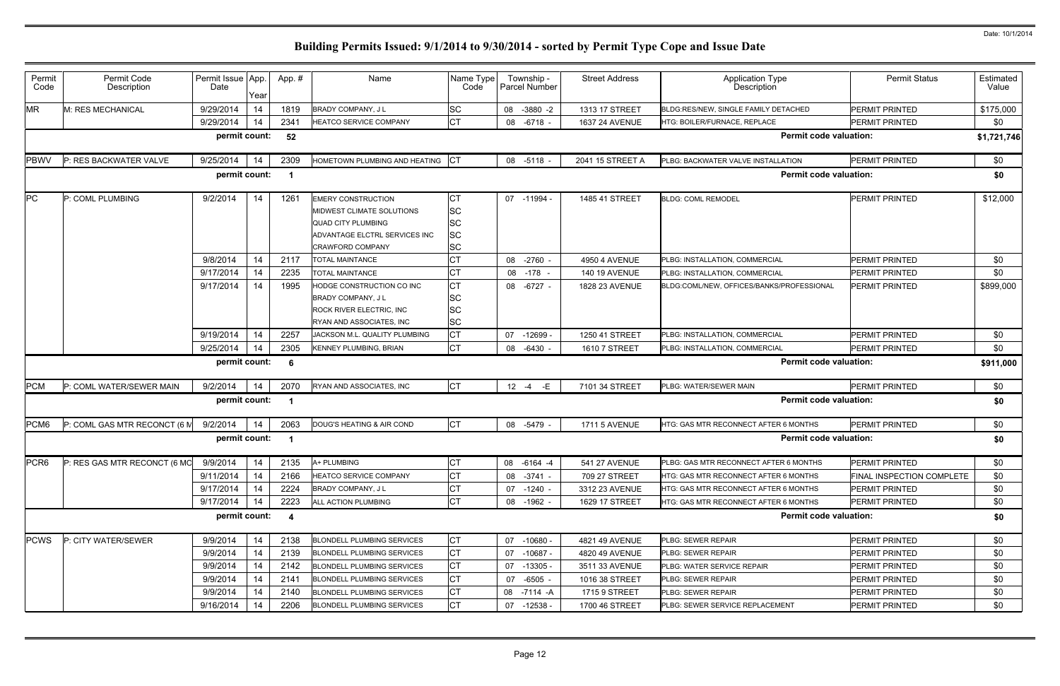| Permit<br>Code   | Permit Code<br>Description   | Permit Issue App.<br>Date | Year | App.#                   | Name                                                      | Name Type<br>Code      | Township -<br>Parcel Number | <b>Street Address</b> | <b>Application Type</b><br>Description    | <b>Permit Status</b>      | Estimated<br>Value |
|------------------|------------------------------|---------------------------|------|-------------------------|-----------------------------------------------------------|------------------------|-----------------------------|-----------------------|-------------------------------------------|---------------------------|--------------------|
| <b>MR</b>        | M: RES MECHANICAL            | 9/29/2014                 | 14   | 1819                    | BRADY COMPANY, J L                                        | <b>SC</b>              | 08 -3880 -2                 | 1313 17 STREET        | BLDG:RES/NEW, SINGLE FAMILY DETACHED      | PERMIT PRINTED            | \$175,000          |
|                  |                              | 9/29/2014                 | 14   | 2341                    | HEATCO SERVICE COMPANY                                    | CT                     | 08<br>$-6718$ -             | 1637 24 AVENUE        | HTG: BOILER/FURNACE, REPLACE              | <b>PERMIT PRINTED</b>     | \$0                |
|                  |                              | permit count:             |      | 52                      |                                                           |                        |                             |                       | <b>Permit code valuation:</b>             |                           | \$1,721,746        |
| <b>PBWV</b>      | P: RES BACKWATER VALVE       | 9/25/2014                 | -14  | 2309                    | HOMETOWN PLUMBING AND HEATING                             | <b>ICT</b>             | 08 -5118 -                  | 2041 15 STREET A      | PLBG: BACKWATER VALVE INSTALLATION        | <b>PERMIT PRINTED</b>     | \$0                |
|                  |                              | permit count:             |      | - 1                     |                                                           |                        |                             |                       | <b>Permit code valuation:</b>             |                           | \$0                |
| PC               | P: COML PLUMBING             | 9/2/2014                  | 14   | 1261                    | <b>EMERY CONSTRUCTION</b>                                 | CT                     | 07 -11994                   | 1485 41 STREET        | <b>BLDG: COML REMODEL</b>                 | <b>PERMIT PRINTED</b>     | \$12,000           |
|                  |                              |                           |      |                         | MIDWEST CLIMATE SOLUTIONS                                 | <b>SC</b>              |                             |                       |                                           |                           |                    |
|                  |                              |                           |      |                         | <b>QUAD CITY PLUMBING</b>                                 | <b>SC</b>              |                             |                       |                                           |                           |                    |
|                  |                              |                           |      |                         | ADVANTAGE ELCTRL SERVICES INC                             | <b>SC</b>              |                             |                       |                                           |                           |                    |
|                  |                              |                           |      |                         | <b>CRAWFORD COMPANY</b>                                   | <b>SC</b>              |                             |                       |                                           |                           |                    |
|                  |                              | 9/8/2014                  | 14   | 2117                    | <b>TOTAL MAINTANCE</b>                                    | СT                     | 08 -2760                    | 4950 4 AVENUE         | PLBG: INSTALLATION, COMMERCIAL            | <b>PERMIT PRINTED</b>     | \$0                |
|                  |                              | 9/17/2014                 | 14   | 2235                    | <b>TOTAL MAINTANCE</b>                                    | СT                     | $-178$<br>08                | <b>140 19 AVENUE</b>  | PLBG: INSTALLATION, COMMERCIAL            | <b>PERMIT PRINTED</b>     | \$0                |
|                  |                              | 9/17/2014                 | 14   | 1995                    | HODGE CONSTRUCTION CO INC                                 | <b>CT</b>              | 08 -6727 -                  | 1828 23 AVENUE        | BLDG:COML/NEW. OFFICES/BANKS/PROFESSIONAL | <b>PERMIT PRINTED</b>     | \$899,000          |
|                  |                              |                           |      |                         | <b>BRADY COMPANY, JL</b>                                  | <b>SC</b>              |                             |                       |                                           |                           |                    |
|                  |                              |                           |      |                         | ROCK RIVER ELECTRIC, INC                                  | <b>SC</b>              |                             |                       |                                           |                           |                    |
|                  |                              | 9/19/2014                 | 14   | 2257                    | RYAN AND ASSOCIATES, INC<br>JACKSON M.L. QUALITY PLUMBING | <b>SC</b><br><b>CT</b> | 07 -12699                   | 1250 41 STREET        | PLBG: INSTALLATION, COMMERCIAL            | <b>PERMIT PRINTED</b>     | \$0                |
|                  |                              | 9/25/2014                 | 14   | 2305                    | KENNEY PLUMBING, BRIAN                                    | CT                     | 08 -6430 -                  |                       | PLBG: INSTALLATION, COMMERCIAL            | PERMIT PRINTED            | \$0                |
|                  |                              |                           |      |                         |                                                           |                        |                             | 1610 7 STREET         |                                           |                           |                    |
|                  |                              | permit count:             |      | - 6                     |                                                           |                        |                             |                       | <b>Permit code valuation:</b>             |                           | \$911,000          |
| <b>PCM</b>       | P: COML WATER/SEWER MAIN     | 9/2/2014                  | 14   | 2070                    | RYAN AND ASSOCIATES, INC                                  | <b>CT</b>              | $12 - 4$<br>$-E$            | 7101 34 STREET        | PLBG: WATER/SEWER MAIN                    | PERMIT PRINTED            | \$0                |
|                  |                              | permit count:             |      | - 1                     |                                                           |                        |                             |                       | <b>Permit code valuation:</b>             |                           | \$0                |
| PCM <sub>6</sub> | P: COML GAS MTR RECONCT (6 M | 9/2/2014                  | -14  | 2063                    | DOUG'S HEATING & AIR COND                                 | <b>CT</b>              | 08 -5479                    | <b>1711 5 AVENUE</b>  | HTG: GAS MTR RECONNECT AFTER 6 MONTHS     | <b>PERMIT PRINTED</b>     | \$0                |
|                  |                              | permit count:             |      | - 1                     |                                                           |                        |                             |                       | <b>Permit code valuation:</b>             |                           | \$0                |
| PCR <sub>6</sub> | P: RES GAS MTR RECONCT (6 MC | 9/9/2014                  | 14   | 2135                    | A+ PLUMBING                                               | <b>CT</b>              | 08 -6164 -4                 | 541 27 AVENUE         | PLBG: GAS MTR RECONNECT AFTER 6 MONTHS    | PERMIT PRINTED            | \$0                |
|                  |                              | 9/11/2014                 | 14   | 2166                    | HEATCO SERVICE COMPANY                                    | CT                     | 08 - 3741 -                 | 709 27 STREET         | HTG: GAS MTR RECONNECT AFTER 6 MONTHS     | FINAL INSPECTION COMPLETE | \$0                |
|                  |                              | 9/17/2014                 | 14   | 2224                    | <b>BRADY COMPANY, JL</b>                                  | СT                     | 07 -1240 -                  | 3312 23 AVENUE        | HTG: GAS MTR RECONNECT AFTER 6 MONTHS     | PERMIT PRINTED            | \$0                |
|                  |                              | 9/17/2014                 | 14   | 2223                    | ALL ACTION PLUMBING                                       | <b>CT</b>              | 08 -1962 -                  | 1629 17 STREET        | HTG: GAS MTR RECONNECT AFTER 6 MONTHS     | <b>PERMIT PRINTED</b>     | \$0                |
|                  |                              | permit count:             |      | $\overline{\mathbf{4}}$ |                                                           |                        |                             |                       | <b>Permit code valuation:</b>             |                           | \$0                |
| <b>PCWS</b>      | P: CITY WATER/SEWER          | 9/9/2014                  | 14   | 2138                    | <b>BLONDELL PLUMBING SERVICES</b>                         | СT                     | 07 -10680 -                 | 4821 49 AVENUE        | PLBG: SEWER REPAIR                        | PERMIT PRINTED            | \$0                |
|                  |                              | 9/9/2014                  | 14   | 2139                    | <b>BLONDELL PLUMBING SERVICES</b>                         | CT                     | 07 -10687 -                 | 4820 49 AVENUE        | PLBG: SEWER REPAIR                        | PERMIT PRINTED            | \$0                |
|                  |                              | 9/9/2014                  | 14   | 2142                    | <b>BLONDELL PLUMBING SERVICES</b>                         | СT                     | 07 -13305 -                 | 3511 33 AVENUE        | PLBG: WATER SERVICE REPAIR                | PERMIT PRINTED            | \$0                |
|                  |                              | 9/9/2014                  | 14   | 2141                    | <b>BLONDELL PLUMBING SERVICES</b>                         | СT                     | 07 -6505 -                  | 1016 38 STREET        | PLBG: SEWER REPAIR                        | PERMIT PRINTED            | \$0                |
|                  |                              | 9/9/2014                  | 14   | 2140                    | <b>BLONDELL PLUMBING SERVICES</b>                         | СT                     | 08 -7114 -A                 | 1715 9 STREET         | <b>PLBG: SEWER REPAIR</b>                 | PERMIT PRINTED            | \$0                |
|                  |                              | 9/16/2014                 | 14   | 2206                    | BLONDELL PLUMBING SERVICES                                | CT                     | 07 -12538 -                 | 1700 46 STREET        | PLBG: SEWER SERVICE REPLACEMENT           | PERMIT PRINTED            | \$0                |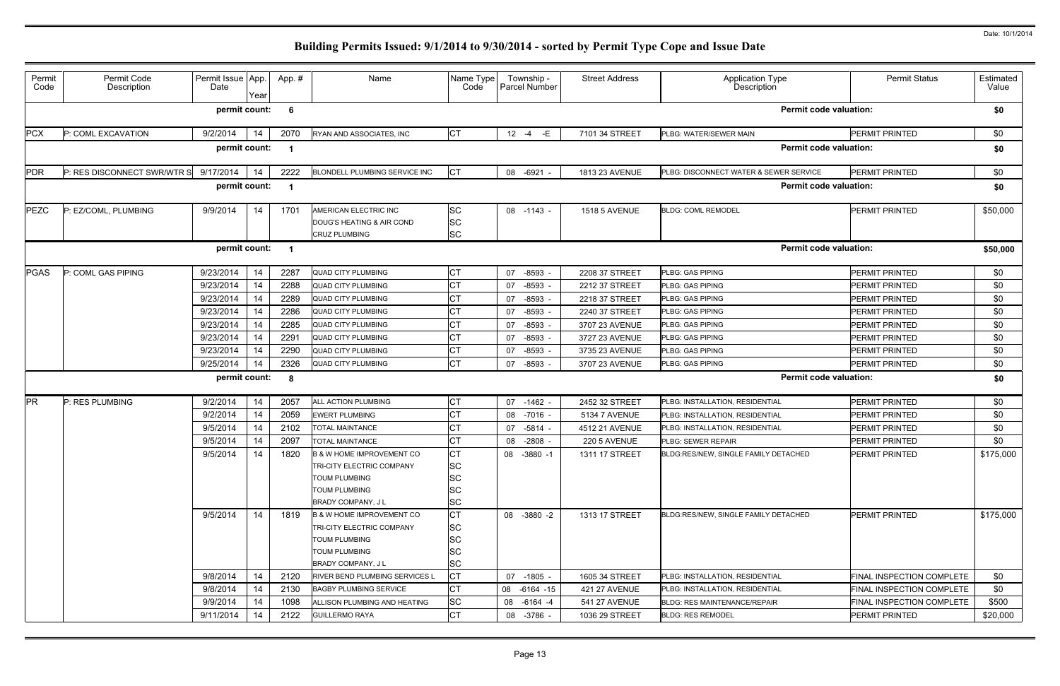| Permit<br>Code                                      | Permit Code<br>Description  | Permit Issue App.<br>Date | Year | App. # | Name                                                                                                                         | Name Type<br>Code                                             | Township -<br>Parcel Number | <b>Street Address</b> | Application Type<br>Description           | <b>Permit Status</b>      | Estimated<br>Value |  |  |
|-----------------------------------------------------|-----------------------------|---------------------------|------|--------|------------------------------------------------------------------------------------------------------------------------------|---------------------------------------------------------------|-----------------------------|-----------------------|-------------------------------------------|---------------------------|--------------------|--|--|
| <b>Permit code valuation:</b><br>permit count:<br>6 |                             |                           |      |        |                                                                                                                              |                                                               |                             |                       |                                           |                           | \$0                |  |  |
| <b>PCX</b>                                          | P: COML EXCAVATION          | 9/2/2014                  | 14   | 2070   | RYAN AND ASSOCIATES, INC                                                                                                     | СT                                                            | -E<br>$12 - 4$              | 7101 34 STREET        | PLBG: WATER/SEWER MAIN                    | <b>PERMIT PRINTED</b>     | \$0                |  |  |
|                                                     |                             | permit count:             |      |        |                                                                                                                              |                                                               |                             |                       | <b>Permit code valuation:</b>             |                           | \$0                |  |  |
| <b>PDR</b>                                          | P: RES DISCONNECT SWR/WTR S | 9/17/2014                 | -14  | 2222   | BLONDELL PLUMBING SERVICE INC                                                                                                | <b>CT</b>                                                     | 08 -6921                    | 1813 23 AVENUE        | PLBG: DISCONNECT WATER & SEWER SERVICE    | PERMIT PRINTED            | \$0                |  |  |
| permit count:<br>- 1                                |                             |                           |      |        |                                                                                                                              |                                                               |                             |                       | <b>Permit code valuation:</b><br>\$0      |                           |                    |  |  |
| <b>PEZC</b>                                         | P: EZ/COML, PLUMBING        | 9/9/2014                  | 14   | 1701   | AMERICAN ELECTRIC INC<br>DOUG'S HEATING & AIR COND<br><b>CRUZ PLUMBING</b>                                                   | <b>SC</b><br><b>SC</b><br><b>SC</b>                           | 08 -1143 -                  | <b>1518 5 AVENUE</b>  | <b>BLDG: COML REMODEL</b>                 | <b>PERMIT PRINTED</b>     | \$50,000           |  |  |
| permit count:<br>- 1                                |                             |                           |      |        |                                                                                                                              |                                                               |                             |                       | <b>Permit code valuation:</b><br>\$50,000 |                           |                    |  |  |
| <b>PGAS</b>                                         | P: COML GAS PIPING          | 9/23/2014                 | 14   | 2287   | <b>QUAD CITY PLUMBING</b>                                                                                                    | СT                                                            | 07 -8593                    | 2208 37 STREET        | PLBG: GAS PIPING                          | <b>PERMIT PRINTED</b>     | \$0                |  |  |
|                                                     |                             | 9/23/2014                 | 14   | 2288   | <b>QUAD CITY PLUMBING</b>                                                                                                    | СT                                                            | -8593<br>07                 | 2212 37 STREET        | <b>PLBG: GAS PIPING</b>                   | PERMIT PRINTED            | \$0                |  |  |
|                                                     |                             | 9/23/2014                 | 14   | 2289   | <b>QUAD CITY PLUMBING</b>                                                                                                    | СT                                                            | -8593<br>07                 | 2218 37 STREET        | <b>PLBG: GAS PIPING</b>                   | PERMIT PRINTED            | \$0                |  |  |
|                                                     |                             | 9/23/2014                 | 14   | 2286   | <b>QUAD CITY PLUMBING</b>                                                                                                    | СT                                                            | -8593<br>07                 | 2240 37 STREET        | <b>PLBG: GAS PIPING</b>                   | PERMIT PRINTED            | \$0                |  |  |
|                                                     |                             | 9/23/2014                 | 14   | 2285   | <b>QUAD CITY PLUMBING</b>                                                                                                    | СT                                                            | $-8593$<br>07               | 3707 23 AVENUE        | <b>PLBG: GAS PIPING</b>                   | PERMIT PRINTED            | \$0                |  |  |
|                                                     |                             | 9/23/2014                 | 14   | 2291   | <b>QUAD CITY PLUMBING</b>                                                                                                    | СT                                                            | -8593<br>07                 | 3727 23 AVENUE        | <b>PLBG: GAS PIPING</b>                   | PERMIT PRINTED            | \$0                |  |  |
|                                                     |                             | 9/23/2014                 | 14   | 2290   | <b>QUAD CITY PLUMBING</b>                                                                                                    | СT                                                            | -8593<br>07                 | 3735 23 AVENUE        | <b>PLBG: GAS PIPING</b>                   | PERMIT PRINTED            | \$0                |  |  |
|                                                     |                             | 9/25/2014                 | 14   | 2326   | <b>QUAD CITY PLUMBING</b>                                                                                                    | СT                                                            | $-8593$<br>07               | 3707 23 AVENUE        | PLBG: GAS PIPING                          | PERMIT PRINTED            | \$0                |  |  |
| <b>Permit code valuation:</b><br>permit count:<br>8 |                             |                           |      |        |                                                                                                                              |                                                               |                             |                       | \$0                                       |                           |                    |  |  |
| <b>PR</b>                                           | P: RES PLUMBING             | 9/2/2014                  | 14   | 2057   | ALL ACTION PLUMBING                                                                                                          | СT                                                            | $07 - 1462$                 | 2452 32 STREET        | PLBG: INSTALLATION, RESIDENTIAL           | <b>PERMIT PRINTED</b>     | \$0                |  |  |
|                                                     |                             | 9/2/2014                  | 14   | 2059   | <b>EWERT PLUMBING</b>                                                                                                        | СT                                                            | 08 -7016 -                  | 5134 7 AVENUE         | PLBG: INSTALLATION, RESIDENTIAL           | PERMIT PRINTED            | \$0                |  |  |
|                                                     |                             | 9/5/2014                  | 14   | 2102   | <b>TOTAL MAINTANCE</b>                                                                                                       | СT                                                            | 07 -5814                    | 4512 21 AVENUE        | PLBG: INSTALLATION, RESIDENTIAL           | <b>PERMIT PRINTED</b>     | \$0                |  |  |
|                                                     |                             | 9/5/2014                  | 14   | 2097   | <b>TOTAL MAINTANCE</b>                                                                                                       | СT                                                            | -2808 -<br>08               | 220 5 AVENUE          | <b>PLBG: SEWER REPAIR</b>                 | <b>PERMIT PRINTED</b>     | \$0                |  |  |
|                                                     |                             | 9/5/2014                  | 14   | 1820   | B & W HOME IMPROVEMENT CO<br>TRI-CITY ELECTRIC COMPANY<br><b>TOUM PLUMBING</b><br><b>TOUM PLUMBING</b><br>BRADY COMPANY, J L | <b>CT</b><br><b>SC</b><br><b>SC</b><br><b>SC</b><br><b>SC</b> | 08 -3880 -1                 | 1311 17 STREET        | BLDG:RES/NEW, SINGLE FAMILY DETACHED      | PERMIT PRINTED            | \$175,000          |  |  |
|                                                     |                             | 9/5/2014                  | 14   | 1819   | B & W HOME IMPROVEMENT CO<br>TRI-CITY ELECTRIC COMPANY<br><b>TOUM PLUMBING</b><br><b>TOUM PLUMBING</b><br>BRADY COMPANY, JL  | <b>CT</b><br><b>SC</b><br><b>SC</b><br>SC<br><b>SC</b>        | 08 -3880 -2                 | 1313 17 STREET        | BLDG:RES/NEW, SINGLE FAMILY DETACHED      | <b>PERMIT PRINTED</b>     | \$175,000          |  |  |
|                                                     |                             | 9/8/2014                  | 14   | 2120   | RIVER BEND PLUMBING SERVICES L                                                                                               | <b>CT</b>                                                     | 07 -1805 -                  | 1605 34 STREET        | PLBG: INSTALLATION, RESIDENTIAL           | FINAL INSPECTION COMPLETE | \$0                |  |  |
|                                                     |                             | 9/8/2014                  | 14   | 2130   | <b>BAGBY PLUMBING SERVICE</b>                                                                                                | <b>CT</b>                                                     | 08 -6164 -15                | <b>421 27 AVENUE</b>  | PLBG: INSTALLATION, RESIDENTIAL           | FINAL INSPECTION COMPLETE | \$0                |  |  |
|                                                     |                             | 9/9/2014                  | 14   | 1098   | ALLISON PLUMBING AND HEATING                                                                                                 | <b>SC</b>                                                     | 08 -6164 -4                 | 541 27 AVENUE         | <b>BLDG: RES MAINTENANCE/REPAIR</b>       | FINAL INSPECTION COMPLETE | \$500              |  |  |
|                                                     |                             | 9/11/2014                 | 14   | 2122   | <b>GUILLERMO RAYA</b>                                                                                                        | СT                                                            | 08 -3786 -                  | 1036 29 STREET        | <b>BLDG: RES REMODEL</b>                  | PERMIT PRINTED            | \$20,000           |  |  |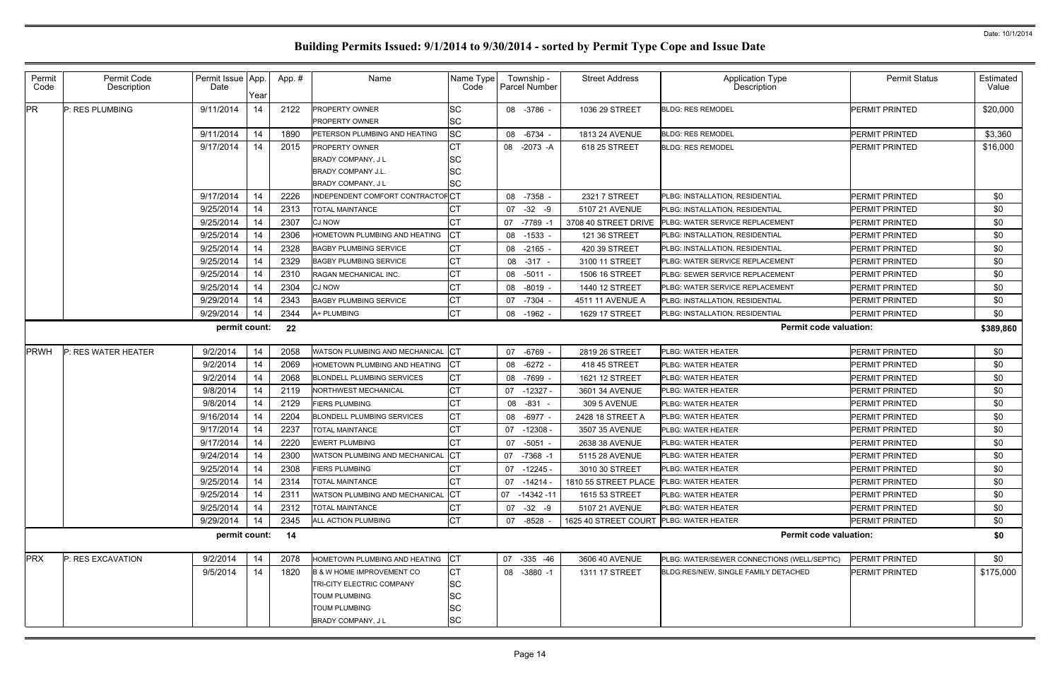| Permit<br>Code                                       | Permit Code<br>Description | Permit Issue App.<br>Date | Year | App.# | Name                                                                                                   | Name Type<br>Code           | Township -<br><b>Parcel Number</b> | <b>Street Address</b>                   | Application Type<br>Description             | <b>Permit Status</b>  | Estimated<br>Value |  |
|------------------------------------------------------|----------------------------|---------------------------|------|-------|--------------------------------------------------------------------------------------------------------|-----------------------------|------------------------------------|-----------------------------------------|---------------------------------------------|-----------------------|--------------------|--|
| <b>PR</b>                                            | P: RES PLUMBING            | 9/11/2014                 | 14   | 2122  | <b>PROPERTY OWNER</b><br><b>PROPERTY OWNER</b>                                                         | SC<br>SC                    | 08 -3786 -                         | 1036 29 STREET                          | <b>BLDG: RES REMODEL</b>                    | <b>PERMIT PRINTED</b> | \$20,000           |  |
|                                                      |                            | 9/11/2014                 | 14   | 1890  | PETERSON PLUMBING AND HEATING                                                                          | <b>SC</b>                   | 08 -6734 -                         | <b>1813 24 AVENUE</b>                   | <b>BLDG: RES REMODEL</b>                    | PERMIT PRINTED        | \$3,360            |  |
|                                                      |                            | 9/17/2014                 | 14   | 2015  | <b>PROPERTY OWNER</b>                                                                                  |                             | 08 -2073 -A                        | 618 25 STREET                           | <b>BLDG: RES REMODEL</b>                    | PERMIT PRINTED        | \$16,000           |  |
|                                                      |                            |                           |      |       | <b>BRADY COMPANY, JL</b>                                                                               | SC                          |                                    |                                         |                                             |                       |                    |  |
|                                                      |                            |                           |      |       | <b>BRADY COMPANY J.L.</b>                                                                              |                             |                                    |                                         |                                             |                       |                    |  |
|                                                      |                            |                           |      |       | <b>BRADY COMPANY, JL</b>                                                                               | SC                          |                                    |                                         |                                             |                       |                    |  |
|                                                      |                            | 9/17/2014                 | 14   | 2226  | INDEPENDENT COMFORT CONTRACTOFCT                                                                       |                             | 08 -7358 -                         | 2321 7 STREET                           | PLBG: INSTALLATION, RESIDENTIAL             | <b>PERMIT PRINTED</b> | \$0                |  |
|                                                      |                            | 9/25/2014                 | 14   | 2313  | <b>TOTAL MAINTANCE</b>                                                                                 |                             | $07 -32 -9$                        | 5107 21 AVENUE                          | PLBG: INSTALLATION, RESIDENTIAL             | PERMIT PRINTED        | \$0                |  |
|                                                      |                            | 9/25/2014                 | 14   | 2307  | <b>CJ NOW</b>                                                                                          |                             | -7789 -1<br>07                     | 3708 40 STREET DRIVE                    | PLBG: WATER SERVICE REPLACEMENT             | PERMIT PRINTED        | \$0                |  |
|                                                      |                            | 9/25/2014                 | 14   | 2306  | HOMETOWN PLUMBING AND HEATING                                                                          | СT                          | 08 -1533 -                         | 121 36 STREET                           | PLBG: INSTALLATION, RESIDENTIAL             | PERMIT PRINTED        | \$0                |  |
|                                                      |                            | 9/25/2014                 | 14   | 2328  | <b>BAGBY PLUMBING SERVICE</b>                                                                          | СT                          | 08 -2165 -                         | 420 39 STREET                           | PLBG: INSTALLATION, RESIDENTIAL             | <b>PERMIT PRINTED</b> | \$0                |  |
|                                                      |                            | 9/25/2014                 | 14   | 2329  | <b>BAGBY PLUMBING SERVICE</b>                                                                          | СT                          | 08 - 317 -                         | 3100 11 STREET                          | PLBG: WATER SERVICE REPLACEMENT             | PERMIT PRINTED        | \$0                |  |
|                                                      |                            | 9/25/2014                 | 14   | 2310  | RAGAN MECHANICAL INC.                                                                                  | CТ                          | 08 -5011 -                         | 1506 16 STREET                          | PLBG: SEWER SERVICE REPLACEMENT             | PERMIT PRINTED        | \$0                |  |
|                                                      |                            | 9/25/2014                 | 14   | 2304  | <b>CJ NOW</b>                                                                                          | СT                          | 08 -8019 -                         | 1440 12 STREET                          | PLBG: WATER SERVICE REPLACEMENT             | <b>PERMIT PRINTED</b> | \$0                |  |
|                                                      |                            | 9/29/2014                 | 14   | 2343  | <b>BAGBY PLUMBING SERVICE</b>                                                                          | CТ                          | 07 -7304 -                         | 4511 11 AVENUE A                        | PLBG: INSTALLATION, RESIDENTIAL             | <b>PERMIT PRINTED</b> | \$0                |  |
|                                                      |                            | 9/29/2014                 | 14   | 2344  | A+ PLUMBING                                                                                            | СT                          | 08 -1962 -                         | 1629 17 STREET                          | PLBG: INSTALLATION, RESIDENTIAL             | PERMIT PRINTED        | \$0                |  |
| permit count:<br>22                                  |                            |                           |      |       |                                                                                                        |                             |                                    | <b>Permit code valuation:</b>           |                                             |                       |                    |  |
| <b>PRWH</b>                                          | P: RES WATER HEATER        | 9/2/2014                  | 14   | 2058  | WATSON PLUMBING AND MECHANICAL                                                                         | IСТ                         | 07 -6769 -                         | 2819 26 STREET                          | PLBG: WATER HEATER                          | <b>PERMIT PRINTED</b> | \$0                |  |
|                                                      |                            | 9/2/2014                  | 14   | 2069  | HOMETOWN PLUMBING AND HEATING                                                                          | IСТ                         | 08 -6272 -                         | 418 45 STREET                           | <b>PLBG: WATER HEATER</b>                   | PERMIT PRINTED        | \$0                |  |
|                                                      |                            | 9/2/2014                  | 14   | 2068  | <b>BLONDELL PLUMBING SERVICES</b>                                                                      | СT                          | -7699<br>08                        | 1621 12 STREET                          | PLBG: WATER HEATER                          | <b>PERMIT PRINTED</b> | \$0                |  |
|                                                      |                            | 9/8/2014                  | 14   | 2119  | <b>NORTHWEST MECHANICAL</b>                                                                            | CТ                          | 07<br>-12327 -                     | 3601 34 AVENUE                          | <b>PLBG: WATER HEATER</b>                   | <b>PERMIT PRINTED</b> | \$0                |  |
|                                                      |                            | 9/8/2014                  | 14   | 2129  | <b>IERS PLUMBING</b>                                                                                   | СT                          | 08<br>-831                         | 309 5 AVENUE                            | <b>PLBG: WATER HEATER</b>                   | <b>PERMIT PRINTED</b> | \$0                |  |
|                                                      |                            | 9/16/2014                 | 14   | 2204  | <b>BLONDELL PLUMBING SERVICES</b>                                                                      | СT                          | 08 -6977 -                         | 2428 18 STREET A                        | <b>PLBG: WATER HEATER</b>                   | <b>PERMIT PRINTED</b> | \$0                |  |
|                                                      |                            | 9/17/2014                 | 14   | 2237  | <b>TOTAL MAINTANCE</b>                                                                                 | СT                          | $-12308$<br>07                     | 3507 35 AVENUE                          | PLBG: WATER HEATER                          | PERMIT PRINTED        | \$0                |  |
|                                                      |                            | 9/17/2014                 | 14   | 2220  | <b>EWERT PLUMBING</b>                                                                                  |                             | 07 -5051 -                         | 2638 38 AVENUE                          | PLBG: WATER HEATER                          | PERMIT PRINTED        | \$0                |  |
|                                                      |                            | 9/24/2014                 | 14   | 2300  | WATSON PLUMBING AND MECHANICAL CT                                                                      |                             | 07 -7368 -1                        | 5115 28 AVENUE                          | PLBG: WATER HEATER                          | PERMIT PRINTED        | \$0                |  |
|                                                      |                            | 9/25/2014                 | 14   | 2308  | <b>FIERS PLUMBING</b>                                                                                  |                             | 07 -12245 -                        | 3010 30 STREET                          | <b>PLBG: WATER HEATER</b>                   | <b>PERMIT PRINTED</b> | \$0                |  |
|                                                      |                            | 9/25/2014                 | 14   | 2314  | <b>TOTAL MAINTANCE</b>                                                                                 | СT                          | $07 - 14214 -$                     | 1810 55 STREET PLACE PLBG: WATER HEATER |                                             | <b>PERMIT PRINTED</b> | \$0                |  |
|                                                      |                            | 9/25/2014                 | 14   | 2311  | WATSON PLUMBING AND MECHANICAL                                                                         | <b>ICT</b>                  | 07 -14342 -11                      | 1615 53 STREET                          | PLBG: WATER HEATER                          | PERMIT PRINTED        | \$0                |  |
|                                                      |                            | 9/25/2014                 | 14   | 2312  | <b>TOTAL MAINTANCE</b>                                                                                 | CТ                          | 07 -32 -9                          | 5107 21 AVENUE                          | <b>PLBG: WATER HEATER</b>                   | <b>PERMIT PRINTED</b> | \$0                |  |
|                                                      |                            | 9/29/2014                 | -14  | 2345  | <b>ALL ACTION PLUMBING</b>                                                                             | СT                          | 07 -8528                           | 1625 40 STREET COURT PLBG: WATER HEATER |                                             | <b>PERMIT PRINTED</b> | \$0                |  |
| permit count:<br><b>Permit code valuation:</b><br>14 |                            |                           |      |       |                                                                                                        |                             |                                    |                                         |                                             |                       | \$0                |  |
| <b>PRX</b>                                           | P: RES EXCAVATION          | 9/2/2014                  | 14   | 2078  | HOMETOWN PLUMBING AND HEATING                                                                          | <b>CT</b>                   | 07 -335 -46                        | 3606 40 AVENUE                          | PLBG: WATER/SEWER CONNECTIONS (WELL/SEPTIC) | PERMIT PRINTED        | \$0                |  |
|                                                      |                            | 9/5/2014                  | 14   | 1820  | <b>B &amp; W HOME IMPROVEMENT CO</b>                                                                   | СT                          | 08 -3880 -1                        | 1311 17 STREET                          | BLDG:RES/NEW, SINGLE FAMILY DETACHED        | <b>PERMIT PRINTED</b> | \$175,000          |  |
|                                                      |                            |                           |      |       | <b>TRI-CITY ELECTRIC COMPANY</b><br><b>TOUM PLUMBING</b><br><b>TOUM PLUMBING</b><br>BRADY COMPANY, J L | SC<br>SC<br>SC<br><b>SC</b> |                                    |                                         |                                             |                       |                    |  |
|                                                      |                            |                           |      |       |                                                                                                        |                             |                                    |                                         |                                             |                       |                    |  |